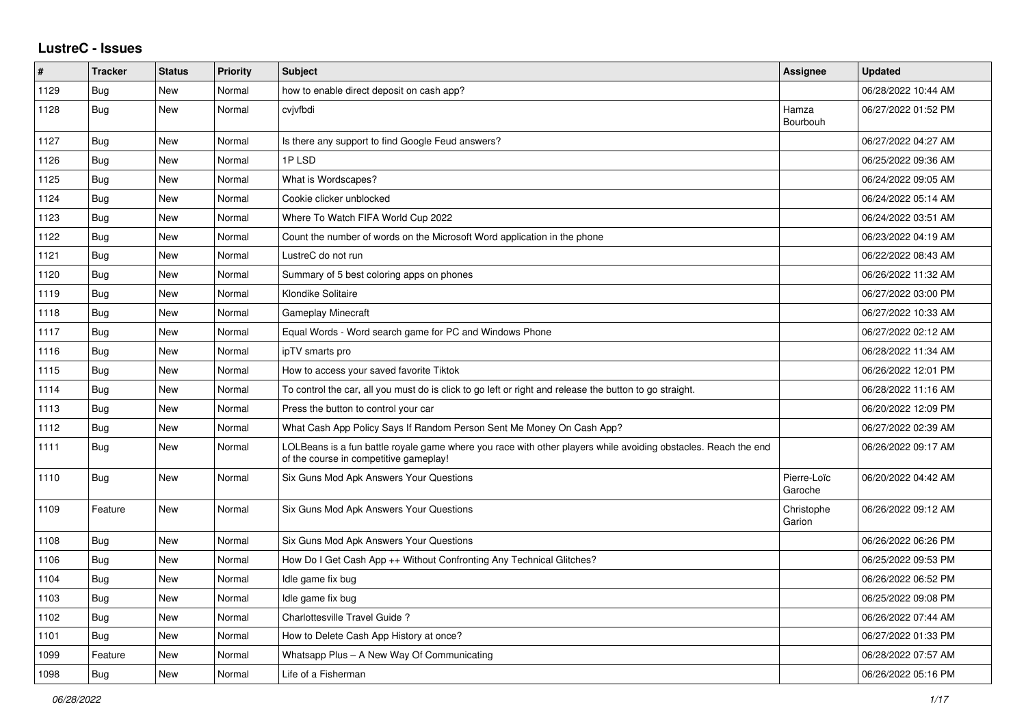## **LustreC - Issues**

| #    | <b>Tracker</b> | <b>Status</b> | <b>Priority</b> | <b>Subject</b>                                                                                                                                           | Assignee               | <b>Updated</b>      |
|------|----------------|---------------|-----------------|----------------------------------------------------------------------------------------------------------------------------------------------------------|------------------------|---------------------|
| 1129 | Bug            | <b>New</b>    | Normal          | how to enable direct deposit on cash app?                                                                                                                |                        | 06/28/2022 10:44 AM |
| 1128 | Bug            | New           | Normal          | cvjvfbdi                                                                                                                                                 | Hamza<br>Bourbouh      | 06/27/2022 01:52 PM |
| 1127 | Bug            | New           | Normal          | Is there any support to find Google Feud answers?                                                                                                        |                        | 06/27/2022 04:27 AM |
| 1126 | <b>Bug</b>     | New           | Normal          | 1PLSD                                                                                                                                                    |                        | 06/25/2022 09:36 AM |
| 1125 | Bug            | New           | Normal          | What is Wordscapes?                                                                                                                                      |                        | 06/24/2022 09:05 AM |
| 1124 | Bug            | New           | Normal          | Cookie clicker unblocked                                                                                                                                 |                        | 06/24/2022 05:14 AM |
| 1123 | Bug            | New           | Normal          | Where To Watch FIFA World Cup 2022                                                                                                                       |                        | 06/24/2022 03:51 AM |
| 1122 | Bug            | New           | Normal          | Count the number of words on the Microsoft Word application in the phone                                                                                 |                        | 06/23/2022 04:19 AM |
| 1121 | Bug            | New           | Normal          | LustreC do not run                                                                                                                                       |                        | 06/22/2022 08:43 AM |
| 1120 | <b>Bug</b>     | New           | Normal          | Summary of 5 best coloring apps on phones                                                                                                                |                        | 06/26/2022 11:32 AM |
| 1119 | Bug            | New           | Normal          | Klondike Solitaire                                                                                                                                       |                        | 06/27/2022 03:00 PM |
| 1118 | <b>Bug</b>     | New           | Normal          | <b>Gameplay Minecraft</b>                                                                                                                                |                        | 06/27/2022 10:33 AM |
| 1117 | Bug            | New           | Normal          | Equal Words - Word search game for PC and Windows Phone                                                                                                  |                        | 06/27/2022 02:12 AM |
| 1116 | <b>Bug</b>     | New           | Normal          | ipTV smarts pro                                                                                                                                          |                        | 06/28/2022 11:34 AM |
| 1115 | <b>Bug</b>     | New           | Normal          | How to access your saved favorite Tiktok                                                                                                                 |                        | 06/26/2022 12:01 PM |
| 1114 | <b>Bug</b>     | New           | Normal          | To control the car, all you must do is click to go left or right and release the button to go straight.                                                  |                        | 06/28/2022 11:16 AM |
| 1113 | <b>Bug</b>     | <b>New</b>    | Normal          | Press the button to control your car                                                                                                                     |                        | 06/20/2022 12:09 PM |
| 1112 | Bug            | New           | Normal          | What Cash App Policy Says If Random Person Sent Me Money On Cash App?                                                                                    |                        | 06/27/2022 02:39 AM |
| 1111 | <b>Bug</b>     | New           | Normal          | LOLBeans is a fun battle royale game where you race with other players while avoiding obstacles. Reach the end<br>of the course in competitive gameplay! |                        | 06/26/2022 09:17 AM |
| 1110 | Bug            | New           | Normal          | Six Guns Mod Apk Answers Your Questions                                                                                                                  | Pierre-Loïc<br>Garoche | 06/20/2022 04:42 AM |
| 1109 | Feature        | New           | Normal          | Six Guns Mod Apk Answers Your Questions                                                                                                                  | Christophe<br>Garion   | 06/26/2022 09:12 AM |
| 1108 | Bug            | New           | Normal          | Six Guns Mod Apk Answers Your Questions                                                                                                                  |                        | 06/26/2022 06:26 PM |
| 1106 | <b>Bug</b>     | New           | Normal          | How Do I Get Cash App ++ Without Confronting Any Technical Glitches?                                                                                     |                        | 06/25/2022 09:53 PM |
| 1104 | <b>Bug</b>     | New           | Normal          | Idle game fix bug                                                                                                                                        |                        | 06/26/2022 06:52 PM |
| 1103 | Bug            | New           | Normal          | Idle game fix bug                                                                                                                                        |                        | 06/25/2022 09:08 PM |
| 1102 | Bug            | New           | Normal          | Charlottesville Travel Guide?                                                                                                                            |                        | 06/26/2022 07:44 AM |
| 1101 | Bug            | New           | Normal          | How to Delete Cash App History at once?                                                                                                                  |                        | 06/27/2022 01:33 PM |
| 1099 | Feature        | New           | Normal          | Whatsapp Plus - A New Way Of Communicating                                                                                                               |                        | 06/28/2022 07:57 AM |
| 1098 | <b>Bug</b>     | New           | Normal          | Life of a Fisherman                                                                                                                                      |                        | 06/26/2022 05:16 PM |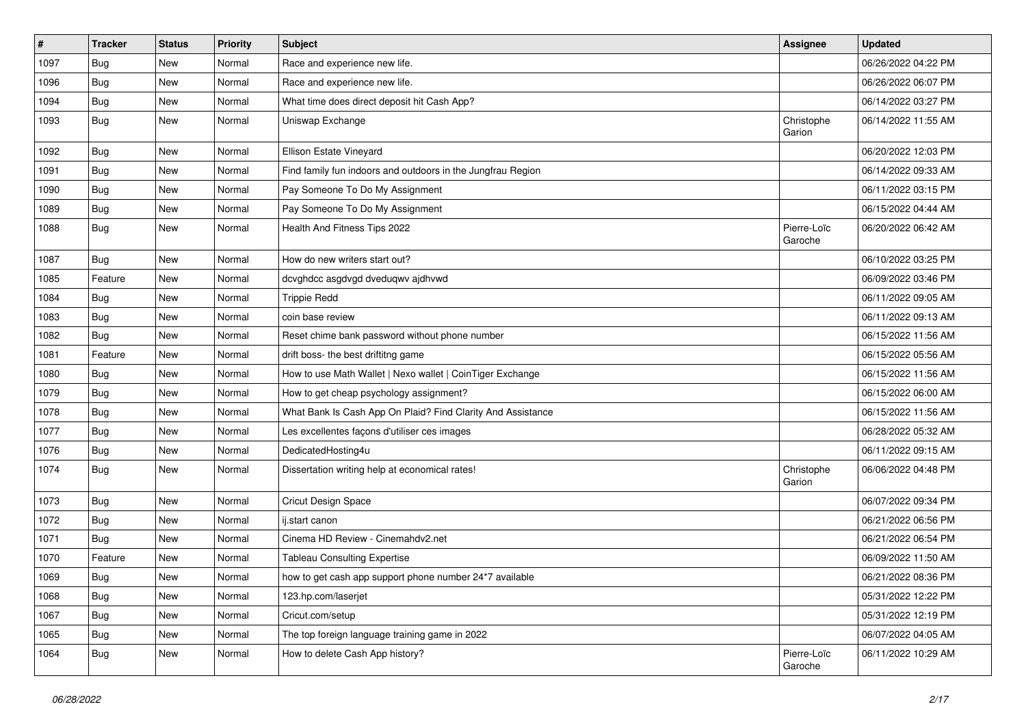| $\sharp$ | <b>Tracker</b> | <b>Status</b> | <b>Priority</b> | <b>Subject</b>                                              | Assignee               | <b>Updated</b>      |
|----------|----------------|---------------|-----------------|-------------------------------------------------------------|------------------------|---------------------|
| 1097     | <b>Bug</b>     | New           | Normal          | Race and experience new life.                               |                        | 06/26/2022 04:22 PM |
| 1096     | Bug            | New           | Normal          | Race and experience new life.                               |                        | 06/26/2022 06:07 PM |
| 1094     | <b>Bug</b>     | New           | Normal          | What time does direct deposit hit Cash App?                 |                        | 06/14/2022 03:27 PM |
| 1093     | <b>Bug</b>     | New           | Normal          | Uniswap Exchange                                            | Christophe<br>Garion   | 06/14/2022 11:55 AM |
| 1092     | <b>Bug</b>     | New           | Normal          | Ellison Estate Vineyard                                     |                        | 06/20/2022 12:03 PM |
| 1091     | Bug            | New           | Normal          | Find family fun indoors and outdoors in the Jungfrau Region |                        | 06/14/2022 09:33 AM |
| 1090     | <b>Bug</b>     | New           | Normal          | Pay Someone To Do My Assignment                             |                        | 06/11/2022 03:15 PM |
| 1089     | <b>Bug</b>     | New           | Normal          | Pay Someone To Do My Assignment                             |                        | 06/15/2022 04:44 AM |
| 1088     | <b>Bug</b>     | New           | Normal          | Health And Fitness Tips 2022                                | Pierre-Loïc<br>Garoche | 06/20/2022 06:42 AM |
| 1087     | Bug            | <b>New</b>    | Normal          | How do new writers start out?                               |                        | 06/10/2022 03:25 PM |
| 1085     | Feature        | New           | Normal          | dcvghdcc asgdvgd dveduqwv ajdhvwd                           |                        | 06/09/2022 03:46 PM |
| 1084     | <b>Bug</b>     | New           | Normal          | <b>Trippie Redd</b>                                         |                        | 06/11/2022 09:05 AM |
| 1083     | Bug            | New           | Normal          | coin base review                                            |                        | 06/11/2022 09:13 AM |
| 1082     | <b>Bug</b>     | New           | Normal          | Reset chime bank password without phone number              |                        | 06/15/2022 11:56 AM |
| 1081     | Feature        | <b>New</b>    | Normal          | drift boss- the best driftitng game                         |                        | 06/15/2022 05:56 AM |
| 1080     | Bug            | New           | Normal          | How to use Math Wallet   Nexo wallet   CoinTiger Exchange   |                        | 06/15/2022 11:56 AM |
| 1079     | <b>Bug</b>     | New           | Normal          | How to get cheap psychology assignment?                     |                        | 06/15/2022 06:00 AM |
| 1078     | Bug            | New           | Normal          | What Bank Is Cash App On Plaid? Find Clarity And Assistance |                        | 06/15/2022 11:56 AM |
| 1077     | <b>Bug</b>     | New           | Normal          | Les excellentes façons d'utiliser ces images                |                        | 06/28/2022 05:32 AM |
| 1076     | Bug            | New           | Normal          | DedicatedHosting4u                                          |                        | 06/11/2022 09:15 AM |
| 1074     | Bug            | New           | Normal          | Dissertation writing help at economical rates!              | Christophe<br>Garion   | 06/06/2022 04:48 PM |
| 1073     | <b>Bug</b>     | New           | Normal          | <b>Cricut Design Space</b>                                  |                        | 06/07/2022 09:34 PM |
| 1072     | <b>Bug</b>     | <b>New</b>    | Normal          | ij.start canon                                              |                        | 06/21/2022 06:56 PM |
| 1071     | <b>Bug</b>     | New           | Normal          | Cinema HD Review - Cinemahdv2.net                           |                        | 06/21/2022 06:54 PM |
| 1070     | Feature        | New           | Normal          | <b>Tableau Consulting Expertise</b>                         |                        | 06/09/2022 11:50 AM |
| 1069     | Bug            | New           | Normal          | how to get cash app support phone number 24*7 available     |                        | 06/21/2022 08:36 PM |
| 1068     | <b>Bug</b>     | New           | Normal          | 123.hp.com/laserjet                                         |                        | 05/31/2022 12:22 PM |
| 1067     | Bug            | New           | Normal          | Cricut.com/setup                                            |                        | 05/31/2022 12:19 PM |
| 1065     | <b>Bug</b>     | New           | Normal          | The top foreign language training game in 2022              |                        | 06/07/2022 04:05 AM |
| 1064     | Bug            | New           | Normal          | How to delete Cash App history?                             | Pierre-Loïc<br>Garoche | 06/11/2022 10:29 AM |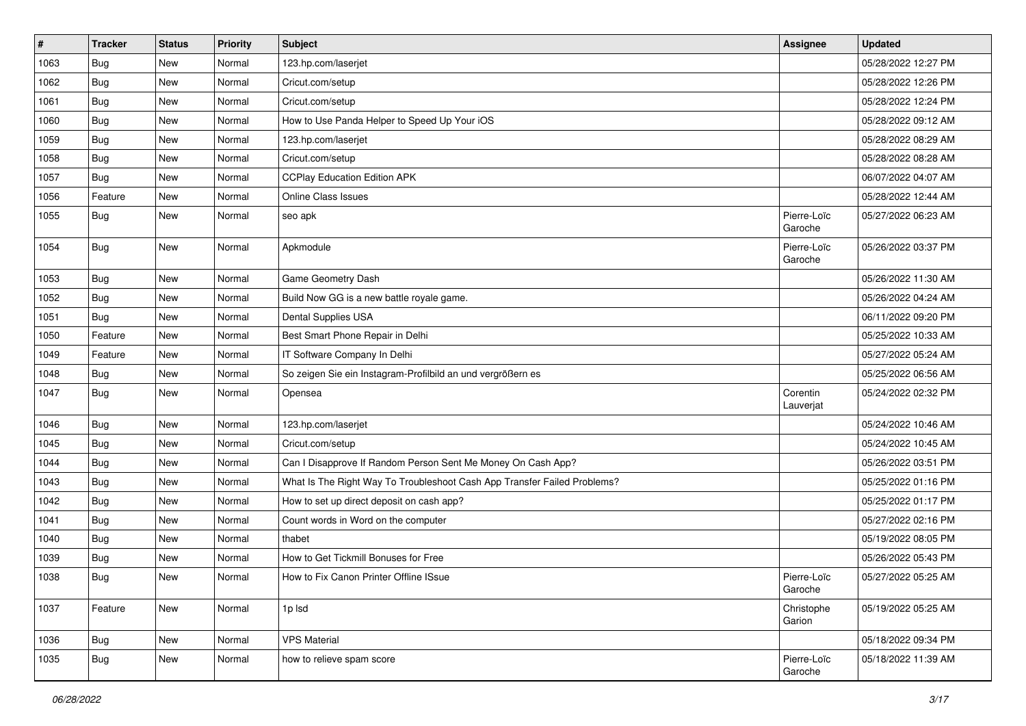| $\vert$ # | <b>Tracker</b> | <b>Status</b> | <b>Priority</b> | <b>Subject</b>                                                           | Assignee               | <b>Updated</b>      |
|-----------|----------------|---------------|-----------------|--------------------------------------------------------------------------|------------------------|---------------------|
| 1063      | <b>Bug</b>     | New           | Normal          | 123.hp.com/laserjet                                                      |                        | 05/28/2022 12:27 PM |
| 1062      | Bug            | <b>New</b>    | Normal          | Cricut.com/setup                                                         |                        | 05/28/2022 12:26 PM |
| 1061      | Bug            | New           | Normal          | Cricut.com/setup                                                         |                        | 05/28/2022 12:24 PM |
| 1060      | Bug            | New           | Normal          | How to Use Panda Helper to Speed Up Your iOS                             |                        | 05/28/2022 09:12 AM |
| 1059      | Bug            | <b>New</b>    | Normal          | 123.hp.com/laserjet                                                      |                        | 05/28/2022 08:29 AM |
| 1058      | <b>Bug</b>     | New           | Normal          | Cricut.com/setup                                                         |                        | 05/28/2022 08:28 AM |
| 1057      | Bug            | New           | Normal          | <b>CCPlay Education Edition APK</b>                                      |                        | 06/07/2022 04:07 AM |
| 1056      | Feature        | New           | Normal          | Online Class Issues                                                      |                        | 05/28/2022 12:44 AM |
| 1055      | Bug            | New           | Normal          | seo apk                                                                  | Pierre-Loïc<br>Garoche | 05/27/2022 06:23 AM |
| 1054      | Bug            | <b>New</b>    | Normal          | Apkmodule                                                                | Pierre-Loïc<br>Garoche | 05/26/2022 03:37 PM |
| 1053      | Bug            | <b>New</b>    | Normal          | Game Geometry Dash                                                       |                        | 05/26/2022 11:30 AM |
| 1052      | Bug            | New           | Normal          | Build Now GG is a new battle royale game.                                |                        | 05/26/2022 04:24 AM |
| 1051      | Bug            | New           | Normal          | Dental Supplies USA                                                      |                        | 06/11/2022 09:20 PM |
| 1050      | Feature        | <b>New</b>    | Normal          | Best Smart Phone Repair in Delhi                                         |                        | 05/25/2022 10:33 AM |
| 1049      | Feature        | New           | Normal          | IT Software Company In Delhi                                             |                        | 05/27/2022 05:24 AM |
| 1048      | <b>Bug</b>     | New           | Normal          | So zeigen Sie ein Instagram-Profilbild an und vergrößern es              |                        | 05/25/2022 06:56 AM |
| 1047      | Bug            | New           | Normal          | Opensea                                                                  | Corentin<br>Lauverjat  | 05/24/2022 02:32 PM |
| 1046      | Bug            | <b>New</b>    | Normal          | 123.hp.com/laserjet                                                      |                        | 05/24/2022 10:46 AM |
| 1045      | <b>Bug</b>     | New           | Normal          | Cricut.com/setup                                                         |                        | 05/24/2022 10:45 AM |
| 1044      | Bug            | New           | Normal          | Can I Disapprove If Random Person Sent Me Money On Cash App?             |                        | 05/26/2022 03:51 PM |
| 1043      | <b>Bug</b>     | New           | Normal          | What Is The Right Way To Troubleshoot Cash App Transfer Failed Problems? |                        | 05/25/2022 01:16 PM |
| 1042      | Bug            | <b>New</b>    | Normal          | How to set up direct deposit on cash app?                                |                        | 05/25/2022 01:17 PM |
| 1041      | Bug            | New           | Normal          | Count words in Word on the computer                                      |                        | 05/27/2022 02:16 PM |
| 1040      | <b>Bug</b>     | New           | Normal          | thabet                                                                   |                        | 05/19/2022 08:05 PM |
| 1039      | Bug            | New           | Normal          | How to Get Tickmill Bonuses for Free                                     |                        | 05/26/2022 05:43 PM |
| 1038      | Bug            | New           | Normal          | How to Fix Canon Printer Offline ISsue                                   | Pierre-Loïc<br>Garoche | 05/27/2022 05:25 AM |
| 1037      | Feature        | <b>New</b>    | Normal          | 1p lsd                                                                   | Christophe<br>Garion   | 05/19/2022 05:25 AM |
| 1036      | Bug            | New           | Normal          | <b>VPS Material</b>                                                      |                        | 05/18/2022 09:34 PM |
| 1035      | <b>Bug</b>     | New           | Normal          | how to relieve spam score                                                | Pierre-Loïc<br>Garoche | 05/18/2022 11:39 AM |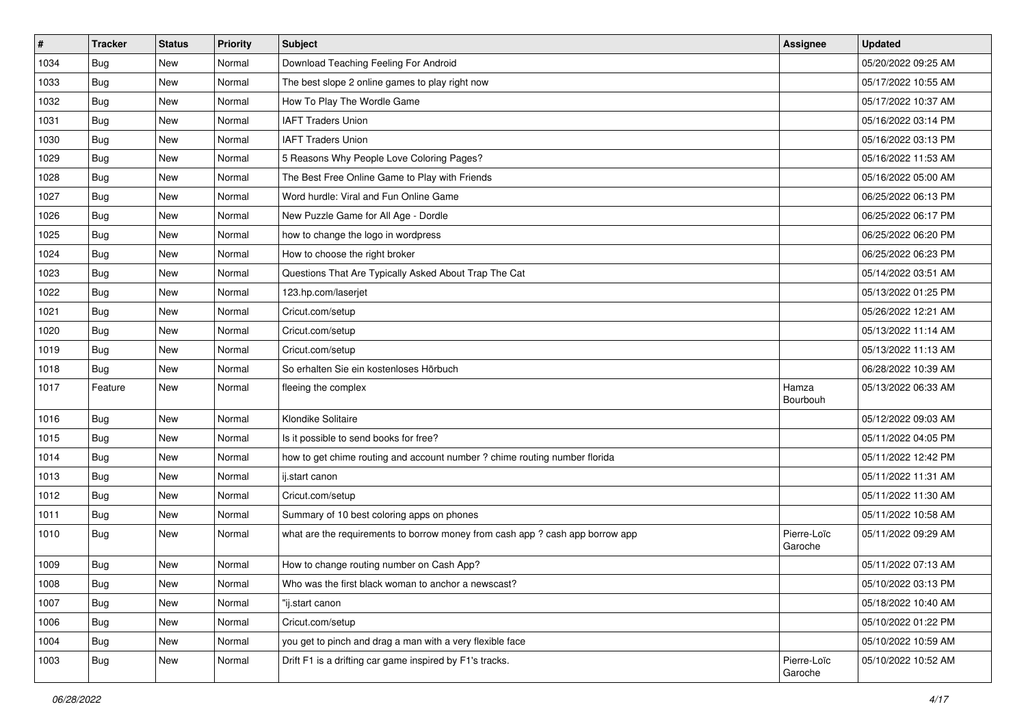| $\vert$ # | Tracker    | <b>Status</b> | <b>Priority</b> | <b>Subject</b>                                                                | Assignee               | <b>Updated</b>      |
|-----------|------------|---------------|-----------------|-------------------------------------------------------------------------------|------------------------|---------------------|
| 1034      | <b>Bug</b> | New           | Normal          | Download Teaching Feeling For Android                                         |                        | 05/20/2022 09:25 AM |
| 1033      | Bug        | <b>New</b>    | Normal          | The best slope 2 online games to play right now                               |                        | 05/17/2022 10:55 AM |
| 1032      | Bug        | New           | Normal          | How To Play The Wordle Game                                                   |                        | 05/17/2022 10:37 AM |
| 1031      | Bug        | New           | Normal          | <b>IAFT Traders Union</b>                                                     |                        | 05/16/2022 03:14 PM |
| 1030      | Bug        | <b>New</b>    | Normal          | <b>IAFT Traders Union</b>                                                     |                        | 05/16/2022 03:13 PM |
| 1029      | <b>Bug</b> | New           | Normal          | 5 Reasons Why People Love Coloring Pages?                                     |                        | 05/16/2022 11:53 AM |
| 1028      | Bug        | New           | Normal          | The Best Free Online Game to Play with Friends                                |                        | 05/16/2022 05:00 AM |
| 1027      | Bug        | New           | Normal          | Word hurdle: Viral and Fun Online Game                                        |                        | 06/25/2022 06:13 PM |
| 1026      | Bug        | <b>New</b>    | Normal          | New Puzzle Game for All Age - Dordle                                          |                        | 06/25/2022 06:17 PM |
| 1025      | Bug        | New           | Normal          | how to change the logo in wordpress                                           |                        | 06/25/2022 06:20 PM |
| 1024      | Bug        | New           | Normal          | How to choose the right broker                                                |                        | 06/25/2022 06:23 PM |
| 1023      | Bug        | New           | Normal          | Questions That Are Typically Asked About Trap The Cat                         |                        | 05/14/2022 03:51 AM |
| 1022      | Bug        | <b>New</b>    | Normal          | 123.hp.com/laserjet                                                           |                        | 05/13/2022 01:25 PM |
| 1021      | <b>Bug</b> | New           | Normal          | Cricut.com/setup                                                              |                        | 05/26/2022 12:21 AM |
| 1020      | Bug        | <b>New</b>    | Normal          | Cricut.com/setup                                                              |                        | 05/13/2022 11:14 AM |
| 1019      | Bug        | New           | Normal          | Cricut.com/setup                                                              |                        | 05/13/2022 11:13 AM |
| 1018      | Bug        | New           | Normal          | So erhalten Sie ein kostenloses Hörbuch                                       |                        | 06/28/2022 10:39 AM |
| 1017      | Feature    | <b>New</b>    | Normal          | fleeing the complex                                                           | Hamza<br>Bourbouh      | 05/13/2022 06:33 AM |
| 1016      | Bug        | <b>New</b>    | Normal          | Klondike Solitaire                                                            |                        | 05/12/2022 09:03 AM |
| 1015      | Bug        | New           | Normal          | Is it possible to send books for free?                                        |                        | 05/11/2022 04:05 PM |
| 1014      | Bug        | <b>New</b>    | Normal          | how to get chime routing and account number ? chime routing number florida    |                        | 05/11/2022 12:42 PM |
| 1013      | Bug        | New           | Normal          | ij.start canon                                                                |                        | 05/11/2022 11:31 AM |
| 1012      | <b>Bug</b> | New           | Normal          | Cricut.com/setup                                                              |                        | 05/11/2022 11:30 AM |
| 1011      | <b>Bug</b> | New           | Normal          | Summary of 10 best coloring apps on phones                                    |                        | 05/11/2022 10:58 AM |
| 1010      | <b>Bug</b> | New           | Normal          | what are the requirements to borrow money from cash app ? cash app borrow app | Pierre-Loïc<br>Garoche | 05/11/2022 09:29 AM |
| 1009      | Bug        | New           | Normal          | How to change routing number on Cash App?                                     |                        | 05/11/2022 07:13 AM |
| 1008      | Bug        | New           | Normal          | Who was the first black woman to anchor a newscast?                           |                        | 05/10/2022 03:13 PM |
| 1007      | Bug        | New           | Normal          | "ij.start canon                                                               |                        | 05/18/2022 10:40 AM |
| 1006      | Bug        | New           | Normal          | Cricut.com/setup                                                              |                        | 05/10/2022 01:22 PM |
| 1004      | <b>Bug</b> | New           | Normal          | you get to pinch and drag a man with a very flexible face                     |                        | 05/10/2022 10:59 AM |
| 1003      | <b>Bug</b> | New           | Normal          | Drift F1 is a drifting car game inspired by F1's tracks.                      | Pierre-Loïc<br>Garoche | 05/10/2022 10:52 AM |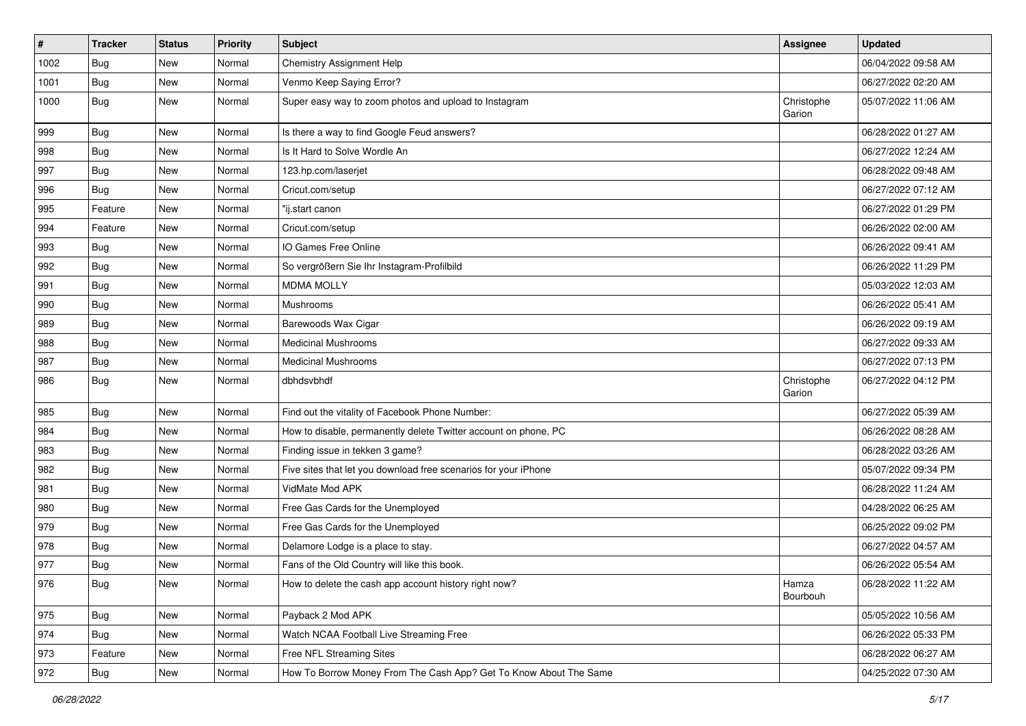| $\vert$ # | Tracker    | <b>Status</b> | <b>Priority</b> | Subject                                                           | Assignee             | <b>Updated</b>      |
|-----------|------------|---------------|-----------------|-------------------------------------------------------------------|----------------------|---------------------|
| 1002      | <b>Bug</b> | New           | Normal          | Chemistry Assignment Help                                         |                      | 06/04/2022 09:58 AM |
| 1001      | Bug        | <b>New</b>    | Normal          | Venmo Keep Saying Error?                                          |                      | 06/27/2022 02:20 AM |
| 1000      | Bug        | New           | Normal          | Super easy way to zoom photos and upload to Instagram             | Christophe<br>Garion | 05/07/2022 11:06 AM |
| 999       | Bug        | <b>New</b>    | Normal          | Is there a way to find Google Feud answers?                       |                      | 06/28/2022 01:27 AM |
| 998       | Bug        | New           | Normal          | Is It Hard to Solve Wordle An                                     |                      | 06/27/2022 12:24 AM |
| 997       | Bug        | <b>New</b>    | Normal          | 123.hp.com/laserjet                                               |                      | 06/28/2022 09:48 AM |
| 996       | Bug        | <b>New</b>    | Normal          | Cricut.com/setup                                                  |                      | 06/27/2022 07:12 AM |
| 995       | Feature    | New           | Normal          | "ij.start canon                                                   |                      | 06/27/2022 01:29 PM |
| 994       | Feature    | <b>New</b>    | Normal          | Cricut.com/setup                                                  |                      | 06/26/2022 02:00 AM |
| 993       | Bug        | New           | Normal          | IO Games Free Online                                              |                      | 06/26/2022 09:41 AM |
| 992       | Bug        | <b>New</b>    | Normal          | So vergrößern Sie Ihr Instagram-Profilbild                        |                      | 06/26/2022 11:29 PM |
| 991       | Bug        | <b>New</b>    | Normal          | <b>MDMA MOLLY</b>                                                 |                      | 05/03/2022 12:03 AM |
| 990       | <b>Bug</b> | New           | Normal          | Mushrooms                                                         |                      | 06/26/2022 05:41 AM |
| 989       | Bug        | <b>New</b>    | Normal          | Barewoods Wax Cigar                                               |                      | 06/26/2022 09:19 AM |
| 988       | <b>Bug</b> | New           | Normal          | <b>Medicinal Mushrooms</b>                                        |                      | 06/27/2022 09:33 AM |
| 987       | Bug        | <b>New</b>    | Normal          | <b>Medicinal Mushrooms</b>                                        |                      | 06/27/2022 07:13 PM |
| 986       | Bug        | New           | Normal          | dbhdsvbhdf                                                        | Christophe<br>Garion | 06/27/2022 04:12 PM |
| 985       | Bug        | <b>New</b>    | Normal          | Find out the vitality of Facebook Phone Number:                   |                      | 06/27/2022 05:39 AM |
| 984       | <b>Bug</b> | <b>New</b>    | Normal          | How to disable, permanently delete Twitter account on phone, PC   |                      | 06/26/2022 08:28 AM |
| 983       | Bug        | New           | Normal          | Finding issue in tekken 3 game?                                   |                      | 06/28/2022 03:26 AM |
| 982       | Bug        | New           | Normal          | Five sites that let you download free scenarios for your iPhone   |                      | 05/07/2022 09:34 PM |
| 981       | <b>Bug</b> | New           | Normal          | VidMate Mod APK                                                   |                      | 06/28/2022 11:24 AM |
| 980       | <b>Bug</b> | <b>New</b>    | Normal          | Free Gas Cards for the Unemployed                                 |                      | 04/28/2022 06:25 AM |
| 979       | Bug        | <b>New</b>    | Normal          | Free Gas Cards for the Unemployed                                 |                      | 06/25/2022 09:02 PM |
| 978       | <b>Bug</b> | New           | Normal          | Delamore Lodge is a place to stay.                                |                      | 06/27/2022 04:57 AM |
| 977       | <b>Bug</b> | New           | Normal          | Fans of the Old Country will like this book.                      |                      | 06/26/2022 05:54 AM |
| 976       | Bug        | New           | Normal          | How to delete the cash app account history right now?             | Hamza<br>Bourbouh    | 06/28/2022 11:22 AM |
| 975       | <b>Bug</b> | New           | Normal          | Payback 2 Mod APK                                                 |                      | 05/05/2022 10:56 AM |
| 974       | <b>Bug</b> | New           | Normal          | Watch NCAA Football Live Streaming Free                           |                      | 06/26/2022 05:33 PM |
| 973       | Feature    | New           | Normal          | Free NFL Streaming Sites                                          |                      | 06/28/2022 06:27 AM |
| 972       | <b>Bug</b> | New           | Normal          | How To Borrow Money From The Cash App? Get To Know About The Same |                      | 04/25/2022 07:30 AM |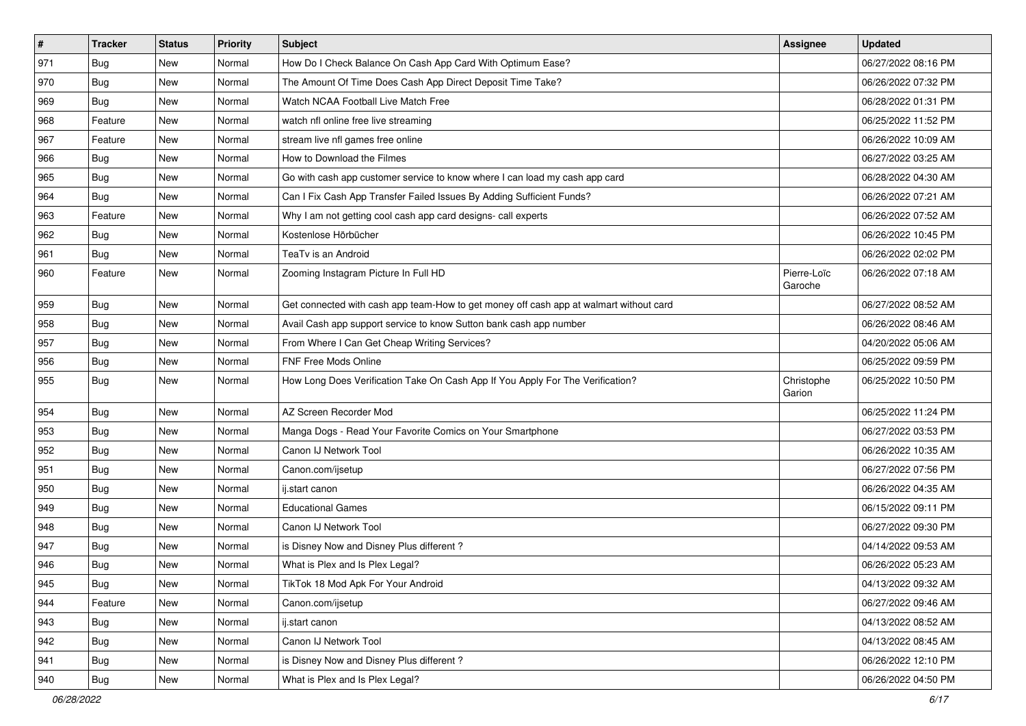| $\vert$ # | <b>Tracker</b> | <b>Status</b> | <b>Priority</b> | Subject                                                                                | Assignee               | <b>Updated</b>      |
|-----------|----------------|---------------|-----------------|----------------------------------------------------------------------------------------|------------------------|---------------------|
| 971       | <b>Bug</b>     | New           | Normal          | How Do I Check Balance On Cash App Card With Optimum Ease?                             |                        | 06/27/2022 08:16 PM |
| 970       | <b>Bug</b>     | New           | Normal          | The Amount Of Time Does Cash App Direct Deposit Time Take?                             |                        | 06/26/2022 07:32 PM |
| 969       | Bug            | <b>New</b>    | Normal          | Watch NCAA Football Live Match Free                                                    |                        | 06/28/2022 01:31 PM |
| 968       | Feature        | <b>New</b>    | Normal          | watch nfl online free live streaming                                                   |                        | 06/25/2022 11:52 PM |
| 967       | Feature        | <b>New</b>    | Normal          | stream live nfl games free online                                                      |                        | 06/26/2022 10:09 AM |
| 966       | Bug            | New           | Normal          | How to Download the Filmes                                                             |                        | 06/27/2022 03:25 AM |
| 965       | <b>Bug</b>     | New           | Normal          | Go with cash app customer service to know where I can load my cash app card            |                        | 06/28/2022 04:30 AM |
| 964       | Bug            | <b>New</b>    | Normal          | Can I Fix Cash App Transfer Failed Issues By Adding Sufficient Funds?                  |                        | 06/26/2022 07:21 AM |
| 963       | Feature        | New           | Normal          | Why I am not getting cool cash app card designs- call experts                          |                        | 06/26/2022 07:52 AM |
| 962       | <b>Bug</b>     | <b>New</b>    | Normal          | Kostenlose Hörbücher                                                                   |                        | 06/26/2022 10:45 PM |
| 961       | Bug            | New           | Normal          | TeaTv is an Android                                                                    |                        | 06/26/2022 02:02 PM |
| 960       | Feature        | <b>New</b>    | Normal          | Zooming Instagram Picture In Full HD                                                   | Pierre-Loïc<br>Garoche | 06/26/2022 07:18 AM |
| 959       | <b>Bug</b>     | New           | Normal          | Get connected with cash app team-How to get money off cash app at walmart without card |                        | 06/27/2022 08:52 AM |
| 958       | <b>Bug</b>     | New           | Normal          | Avail Cash app support service to know Sutton bank cash app number                     |                        | 06/26/2022 08:46 AM |
| 957       | Bug            | <b>New</b>    | Normal          | From Where I Can Get Cheap Writing Services?                                           |                        | 04/20/2022 05:06 AM |
| 956       | <b>Bug</b>     | New           | Normal          | FNF Free Mods Online                                                                   |                        | 06/25/2022 09:59 PM |
| 955       | <b>Bug</b>     | New           | Normal          | How Long Does Verification Take On Cash App If You Apply For The Verification?         | Christophe<br>Garion   | 06/25/2022 10:50 PM |
| 954       | <b>Bug</b>     | <b>New</b>    | Normal          | AZ Screen Recorder Mod                                                                 |                        | 06/25/2022 11:24 PM |
| 953       | Bug            | <b>New</b>    | Normal          | Manga Dogs - Read Your Favorite Comics on Your Smartphone                              |                        | 06/27/2022 03:53 PM |
| 952       | <b>Bug</b>     | New           | Normal          | Canon IJ Network Tool                                                                  |                        | 06/26/2022 10:35 AM |
| 951       | <b>Bug</b>     | <b>New</b>    | Normal          | Canon.com/ijsetup                                                                      |                        | 06/27/2022 07:56 PM |
| 950       | Bug            | New           | Normal          | ij.start canon                                                                         |                        | 06/26/2022 04:35 AM |
| 949       | Bug            | New           | Normal          | <b>Educational Games</b>                                                               |                        | 06/15/2022 09:11 PM |
| 948       | <b>Bug</b>     | New           | Normal          | Canon IJ Network Tool                                                                  |                        | 06/27/2022 09:30 PM |
| 947       | <b>Bug</b>     | New           | Normal          | is Disney Now and Disney Plus different?                                               |                        | 04/14/2022 09:53 AM |
| 946       | <b>Bug</b>     | New           | Normal          | What is Plex and Is Plex Legal?                                                        |                        | 06/26/2022 05:23 AM |
| 945       | <b>Bug</b>     | New           | Normal          | TikTok 18 Mod Apk For Your Android                                                     |                        | 04/13/2022 09:32 AM |
| 944       | Feature        | New           | Normal          | Canon.com/ijsetup                                                                      |                        | 06/27/2022 09:46 AM |
| 943       | Bug            | New           | Normal          | ij.start canon                                                                         |                        | 04/13/2022 08:52 AM |
| 942       | Bug            | New           | Normal          | Canon IJ Network Tool                                                                  |                        | 04/13/2022 08:45 AM |
| 941       | <b>Bug</b>     | New           | Normal          | is Disney Now and Disney Plus different?                                               |                        | 06/26/2022 12:10 PM |
| 940       | <b>Bug</b>     | New           | Normal          | What is Plex and Is Plex Legal?                                                        |                        | 06/26/2022 04:50 PM |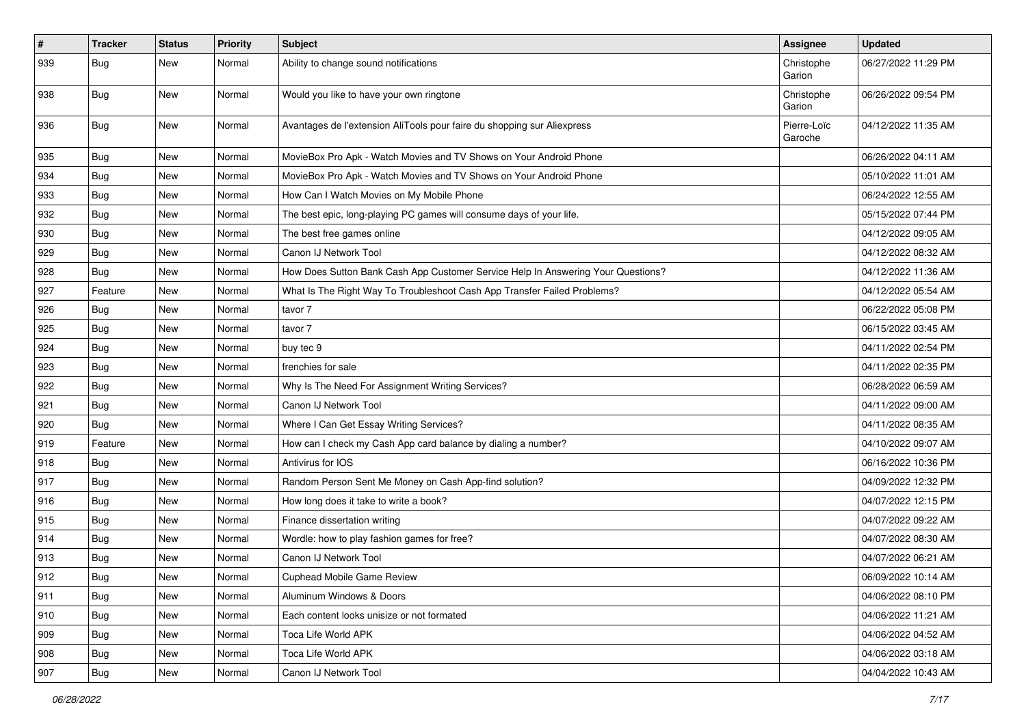| $\vert$ # | Tracker    | <b>Status</b> | <b>Priority</b> | Subject                                                                          | Assignee               | <b>Updated</b>      |
|-----------|------------|---------------|-----------------|----------------------------------------------------------------------------------|------------------------|---------------------|
| 939       | <b>Bug</b> | New           | Normal          | Ability to change sound notifications                                            | Christophe<br>Garion   | 06/27/2022 11:29 PM |
| 938       | Bug        | New           | Normal          | Would you like to have your own ringtone                                         | Christophe<br>Garion   | 06/26/2022 09:54 PM |
| 936       | <b>Bug</b> | <b>New</b>    | Normal          | Avantages de l'extension AliTools pour faire du shopping sur Aliexpress          | Pierre-Loïc<br>Garoche | 04/12/2022 11:35 AM |
| 935       | Bug        | <b>New</b>    | Normal          | MovieBox Pro Apk - Watch Movies and TV Shows on Your Android Phone               |                        | 06/26/2022 04:11 AM |
| 934       | Bug        | New           | Normal          | MovieBox Pro Apk - Watch Movies and TV Shows on Your Android Phone               |                        | 05/10/2022 11:01 AM |
| 933       | <b>Bug</b> | New           | Normal          | How Can I Watch Movies on My Mobile Phone                                        |                        | 06/24/2022 12:55 AM |
| 932       | <b>Bug</b> | New           | Normal          | The best epic, long-playing PC games will consume days of your life.             |                        | 05/15/2022 07:44 PM |
| 930       | <b>Bug</b> | New           | Normal          | The best free games online                                                       |                        | 04/12/2022 09:05 AM |
| 929       | <b>Bug</b> | New           | Normal          | Canon IJ Network Tool                                                            |                        | 04/12/2022 08:32 AM |
| 928       | <b>Bug</b> | <b>New</b>    | Normal          | How Does Sutton Bank Cash App Customer Service Help In Answering Your Questions? |                        | 04/12/2022 11:36 AM |
| 927       | Feature    | New           | Normal          | What Is The Right Way To Troubleshoot Cash App Transfer Failed Problems?         |                        | 04/12/2022 05:54 AM |
| 926       | <b>Bug</b> | <b>New</b>    | Normal          | tavor 7                                                                          |                        | 06/22/2022 05:08 PM |
| 925       | <b>Bug</b> | New           | Normal          | tavor 7                                                                          |                        | 06/15/2022 03:45 AM |
| 924       | <b>Bug</b> | New           | Normal          | buy tec 9                                                                        |                        | 04/11/2022 02:54 PM |
| 923       | Bug        | <b>New</b>    | Normal          | frenchies for sale                                                               |                        | 04/11/2022 02:35 PM |
| 922       | <b>Bug</b> | New           | Normal          | Why Is The Need For Assignment Writing Services?                                 |                        | 06/28/2022 06:59 AM |
| 921       | Bug        | New           | Normal          | Canon IJ Network Tool                                                            |                        | 04/11/2022 09:00 AM |
| 920       | Bug        | New           | Normal          | Where I Can Get Essay Writing Services?                                          |                        | 04/11/2022 08:35 AM |
| 919       | Feature    | New           | Normal          | How can I check my Cash App card balance by dialing a number?                    |                        | 04/10/2022 09:07 AM |
| 918       | Bug        | New           | Normal          | Antivirus for IOS                                                                |                        | 06/16/2022 10:36 PM |
| 917       | <b>Bug</b> | New           | Normal          | Random Person Sent Me Money on Cash App-find solution?                           |                        | 04/09/2022 12:32 PM |
| 916       | <b>Bug</b> | New           | Normal          | How long does it take to write a book?                                           |                        | 04/07/2022 12:15 PM |
| 915       | <b>Bug</b> | <b>New</b>    | Normal          | Finance dissertation writing                                                     |                        | 04/07/2022 09:22 AM |
| 914       | Bug        | New           | Normal          | Wordle: how to play fashion games for free?                                      |                        | 04/07/2022 08:30 AM |
| 913       | <b>Bug</b> | New           | Normal          | Canon IJ Network Tool                                                            |                        | 04/07/2022 06:21 AM |
| 912       | Bug        | New           | Normal          | Cuphead Mobile Game Review                                                       |                        | 06/09/2022 10:14 AM |
| 911       | <b>Bug</b> | New           | Normal          | Aluminum Windows & Doors                                                         |                        | 04/06/2022 08:10 PM |
| 910       | Bug        | <b>New</b>    | Normal          | Each content looks unisize or not formated                                       |                        | 04/06/2022 11:21 AM |
| 909       | <b>Bug</b> | New           | Normal          | Toca Life World APK                                                              |                        | 04/06/2022 04:52 AM |
| 908       | <b>Bug</b> | New           | Normal          | Toca Life World APK                                                              |                        | 04/06/2022 03:18 AM |
| 907       | Bug        | New           | Normal          | Canon IJ Network Tool                                                            |                        | 04/04/2022 10:43 AM |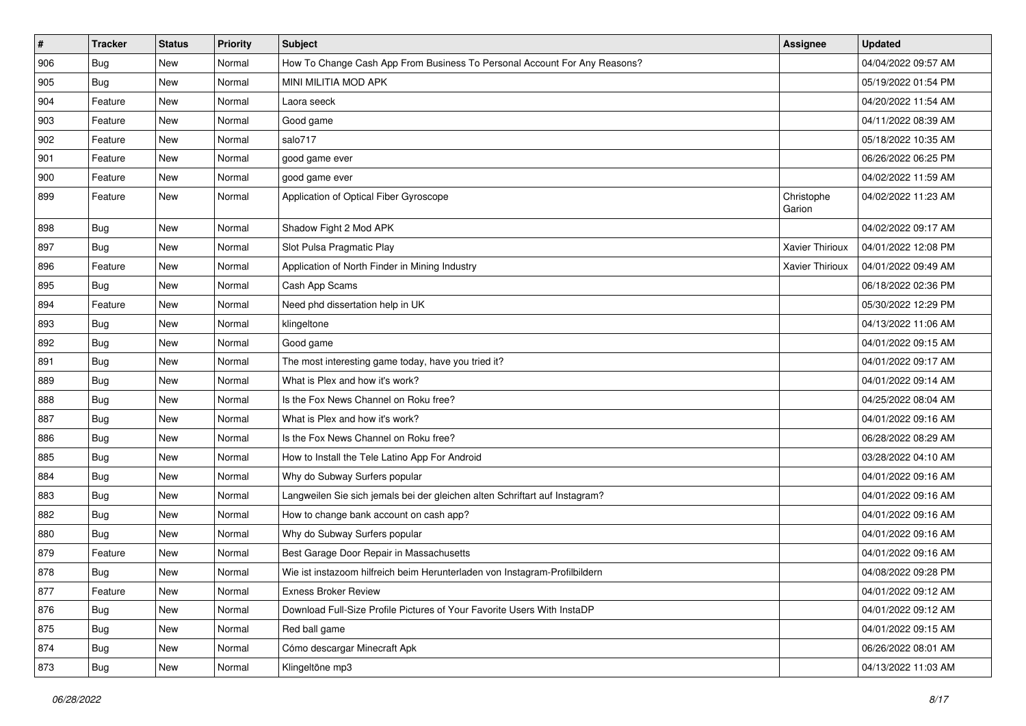| #   | <b>Tracker</b> | <b>Status</b> | <b>Priority</b> | <b>Subject</b>                                                              | Assignee             | <b>Updated</b>      |
|-----|----------------|---------------|-----------------|-----------------------------------------------------------------------------|----------------------|---------------------|
| 906 | <b>Bug</b>     | New           | Normal          | How To Change Cash App From Business To Personal Account For Any Reasons?   |                      | 04/04/2022 09:57 AM |
| 905 | Bug            | <b>New</b>    | Normal          | MINI MILITIA MOD APK                                                        |                      | 05/19/2022 01:54 PM |
| 904 | Feature        | <b>New</b>    | Normal          | Laora seeck                                                                 |                      | 04/20/2022 11:54 AM |
| 903 | Feature        | <b>New</b>    | Normal          | Good game                                                                   |                      | 04/11/2022 08:39 AM |
| 902 | Feature        | <b>New</b>    | Normal          | salo717                                                                     |                      | 05/18/2022 10:35 AM |
| 901 | Feature        | New           | Normal          | good game ever                                                              |                      | 06/26/2022 06:25 PM |
| 900 | Feature        | New           | Normal          | good game ever                                                              |                      | 04/02/2022 11:59 AM |
| 899 | Feature        | <b>New</b>    | Normal          | Application of Optical Fiber Gyroscope                                      | Christophe<br>Garion | 04/02/2022 11:23 AM |
| 898 | <b>Bug</b>     | <b>New</b>    | Normal          | Shadow Fight 2 Mod APK                                                      |                      | 04/02/2022 09:17 AM |
| 897 | Bug            | New           | Normal          | Slot Pulsa Pragmatic Play                                                   | Xavier Thirioux      | 04/01/2022 12:08 PM |
| 896 | Feature        | <b>New</b>    | Normal          | Application of North Finder in Mining Industry                              | Xavier Thirioux      | 04/01/2022 09:49 AM |
| 895 | Bug            | <b>New</b>    | Normal          | Cash App Scams                                                              |                      | 06/18/2022 02:36 PM |
| 894 | Feature        | New           | Normal          | Need phd dissertation help in UK                                            |                      | 05/30/2022 12:29 PM |
| 893 | Bug            | <b>New</b>    | Normal          | klingeltone                                                                 |                      | 04/13/2022 11:06 AM |
| 892 | Bug            | <b>New</b>    | Normal          | Good game                                                                   |                      | 04/01/2022 09:15 AM |
| 891 | Bug            | New           | Normal          | The most interesting game today, have you tried it?                         |                      | 04/01/2022 09:17 AM |
| 889 | Bug            | <b>New</b>    | Normal          | What is Plex and how it's work?                                             |                      | 04/01/2022 09:14 AM |
| 888 | <b>Bug</b>     | New           | Normal          | Is the Fox News Channel on Roku free?                                       |                      | 04/25/2022 08:04 AM |
| 887 | <b>Bug</b>     | New           | Normal          | What is Plex and how it's work?                                             |                      | 04/01/2022 09:16 AM |
| 886 | Bug            | <b>New</b>    | Normal          | Is the Fox News Channel on Roku free?                                       |                      | 06/28/2022 08:29 AM |
| 885 | <b>Bug</b>     | New           | Normal          | How to Install the Tele Latino App For Android                              |                      | 03/28/2022 04:10 AM |
| 884 | <b>Bug</b>     | <b>New</b>    | Normal          | Why do Subway Surfers popular                                               |                      | 04/01/2022 09:16 AM |
| 883 | Bug            | New           | Normal          | Langweilen Sie sich jemals bei der gleichen alten Schriftart auf Instagram? |                      | 04/01/2022 09:16 AM |
| 882 | <b>Bug</b>     | New           | Normal          | How to change bank account on cash app?                                     |                      | 04/01/2022 09:16 AM |
| 880 | Bug            | <b>New</b>    | Normal          | Why do Subway Surfers popular                                               |                      | 04/01/2022 09:16 AM |
| 879 | Feature        | New           | Normal          | Best Garage Door Repair in Massachusetts                                    |                      | 04/01/2022 09:16 AM |
| 878 | <b>Bug</b>     | New           | Normal          | Wie ist instazoom hilfreich beim Herunterladen von Instagram-Profilbildern  |                      | 04/08/2022 09:28 PM |
| 877 | Feature        | New           | Normal          | <b>Exness Broker Review</b>                                                 |                      | 04/01/2022 09:12 AM |
| 876 | Bug            | New           | Normal          | Download Full-Size Profile Pictures of Your Favorite Users With InstaDP     |                      | 04/01/2022 09:12 AM |
| 875 | Bug            | <b>New</b>    | Normal          | Red ball game                                                               |                      | 04/01/2022 09:15 AM |
| 874 | Bug            | New           | Normal          | Cómo descargar Minecraft Apk                                                |                      | 06/26/2022 08:01 AM |
| 873 | <b>Bug</b>     | New           | Normal          | Klingeltöne mp3                                                             |                      | 04/13/2022 11:03 AM |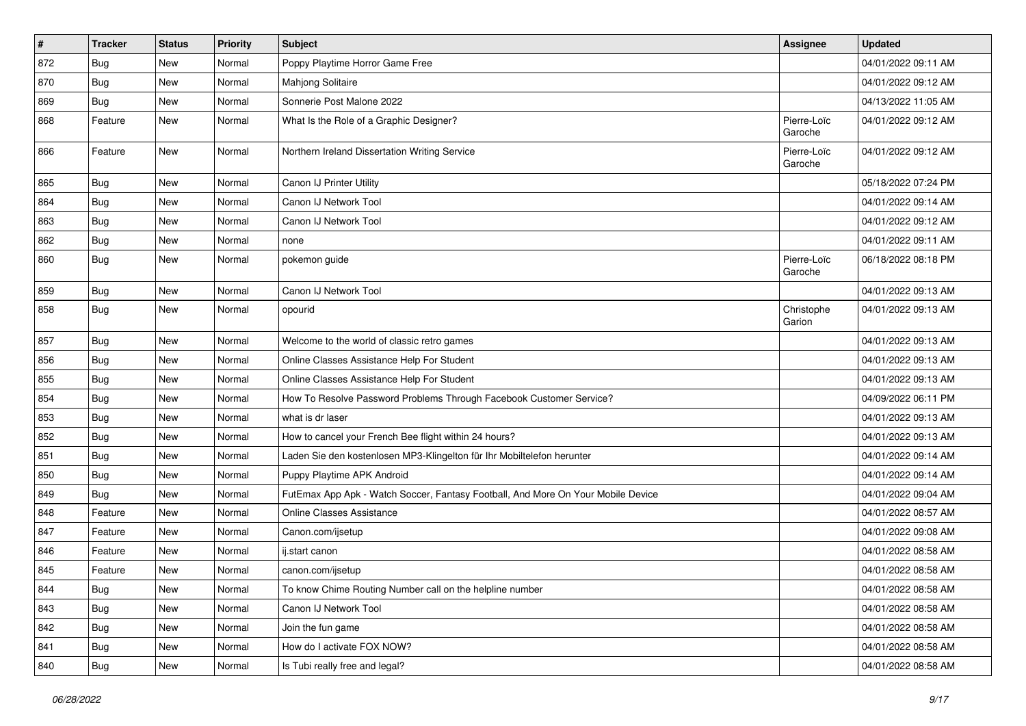| $\sharp$ | Tracker    | <b>Status</b> | <b>Priority</b> | <b>Subject</b>                                                                   | Assignee               | <b>Updated</b>      |
|----------|------------|---------------|-----------------|----------------------------------------------------------------------------------|------------------------|---------------------|
| 872      | <b>Bug</b> | New           | Normal          | Poppy Playtime Horror Game Free                                                  |                        | 04/01/2022 09:11 AM |
| 870      | <b>Bug</b> | <b>New</b>    | Normal          | <b>Mahjong Solitaire</b>                                                         |                        | 04/01/2022 09:12 AM |
| 869      | <b>Bug</b> | New           | Normal          | Sonnerie Post Malone 2022                                                        |                        | 04/13/2022 11:05 AM |
| 868      | Feature    | New           | Normal          | What Is the Role of a Graphic Designer?                                          | Pierre-Loïc<br>Garoche | 04/01/2022 09:12 AM |
| 866      | Feature    | <b>New</b>    | Normal          | Northern Ireland Dissertation Writing Service                                    | Pierre-Loïc<br>Garoche | 04/01/2022 09:12 AM |
| 865      | <b>Bug</b> | <b>New</b>    | Normal          | Canon IJ Printer Utility                                                         |                        | 05/18/2022 07:24 PM |
| 864      | Bug        | New           | Normal          | Canon IJ Network Tool                                                            |                        | 04/01/2022 09:14 AM |
| 863      | Bug        | New           | Normal          | Canon IJ Network Tool                                                            |                        | 04/01/2022 09:12 AM |
| 862      | Bug        | New           | Normal          | none                                                                             |                        | 04/01/2022 09:11 AM |
| 860      | <b>Bug</b> | New           | Normal          | pokemon guide                                                                    | Pierre-Loïc<br>Garoche | 06/18/2022 08:18 PM |
| 859      | Bug        | <b>New</b>    | Normal          | Canon IJ Network Tool                                                            |                        | 04/01/2022 09:13 AM |
| 858      | <b>Bug</b> | New           | Normal          | opourid                                                                          | Christophe<br>Garion   | 04/01/2022 09:13 AM |
| 857      | Bug        | <b>New</b>    | Normal          | Welcome to the world of classic retro games                                      |                        | 04/01/2022 09:13 AM |
| 856      | <b>Bug</b> | <b>New</b>    | Normal          | Online Classes Assistance Help For Student                                       |                        | 04/01/2022 09:13 AM |
| 855      | Bug        | New           | Normal          | Online Classes Assistance Help For Student                                       |                        | 04/01/2022 09:13 AM |
| 854      | <b>Bug</b> | New           | Normal          | How To Resolve Password Problems Through Facebook Customer Service?              |                        | 04/09/2022 06:11 PM |
| 853      | <b>Bug</b> | <b>New</b>    | Normal          | what is dr laser                                                                 |                        | 04/01/2022 09:13 AM |
| 852      | <b>Bug</b> | New           | Normal          | How to cancel your French Bee flight within 24 hours?                            |                        | 04/01/2022 09:13 AM |
| 851      | Bug        | New           | Normal          | Laden Sie den kostenlosen MP3-Klingelton für Ihr Mobiltelefon herunter           |                        | 04/01/2022 09:14 AM |
| 850      | <b>Bug</b> | New           | Normal          | Puppy Playtime APK Android                                                       |                        | 04/01/2022 09:14 AM |
| 849      | <b>Bug</b> | <b>New</b>    | Normal          | FutEmax App Apk - Watch Soccer, Fantasy Football, And More On Your Mobile Device |                        | 04/01/2022 09:04 AM |
| 848      | Feature    | <b>New</b>    | Normal          | Online Classes Assistance                                                        |                        | 04/01/2022 08:57 AM |
| 847      | Feature    | New           | Normal          | Canon.com/ijsetup                                                                |                        | 04/01/2022 09:08 AM |
| 846      | Feature    | New           | Normal          | ij.start canon                                                                   |                        | 04/01/2022 08:58 AM |
| 845      | Feature    | New           | Normal          | canon.com/ijsetup                                                                |                        | 04/01/2022 08:58 AM |
| 844      | <b>Bug</b> | New           | Normal          | To know Chime Routing Number call on the helpline number                         |                        | 04/01/2022 08:58 AM |
| 843      | Bug        | New           | Normal          | Canon IJ Network Tool                                                            |                        | 04/01/2022 08:58 AM |
| 842      | <b>Bug</b> | New           | Normal          | Join the fun game                                                                |                        | 04/01/2022 08:58 AM |
| 841      | <b>Bug</b> | New           | Normal          | How do I activate FOX NOW?                                                       |                        | 04/01/2022 08:58 AM |
| 840      | <b>Bug</b> | New           | Normal          | Is Tubi really free and legal?                                                   |                        | 04/01/2022 08:58 AM |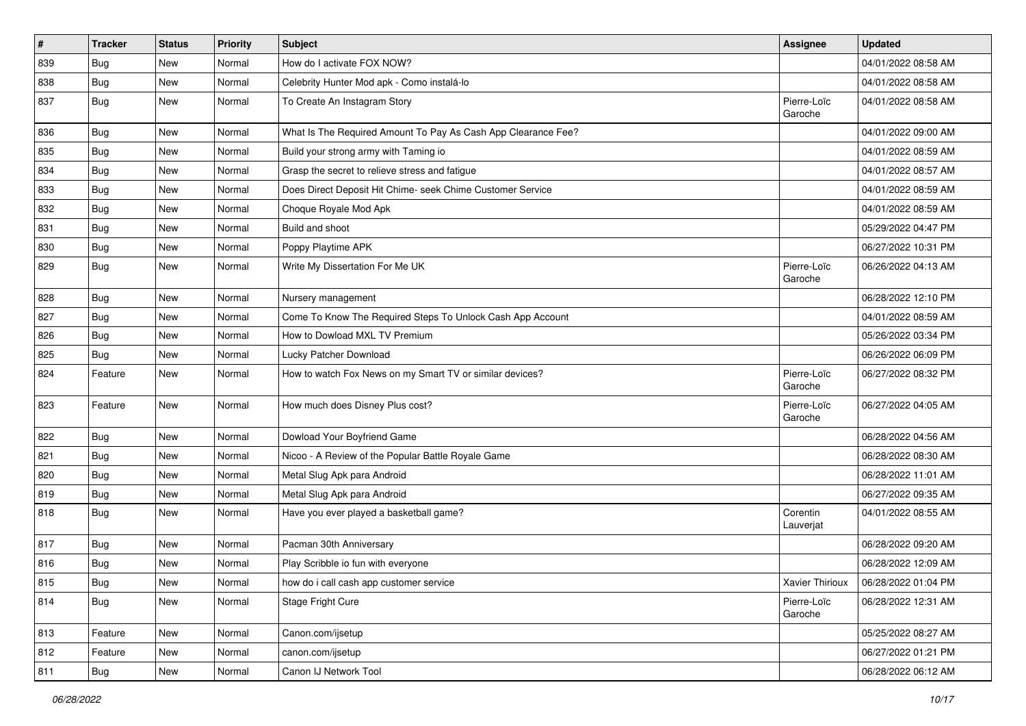| $\pmb{\sharp}$ | <b>Tracker</b> | <b>Status</b> | <b>Priority</b> | Subject                                                       | Assignee               | <b>Updated</b>      |
|----------------|----------------|---------------|-----------------|---------------------------------------------------------------|------------------------|---------------------|
| 839            | <b>Bug</b>     | New           | Normal          | How do I activate FOX NOW?                                    |                        | 04/01/2022 08:58 AM |
| 838            | <b>Bug</b>     | <b>New</b>    | Normal          | Celebrity Hunter Mod apk - Como instalá-lo                    |                        | 04/01/2022 08:58 AM |
| 837            | Bug            | <b>New</b>    | Normal          | To Create An Instagram Story                                  | Pierre-Loïc<br>Garoche | 04/01/2022 08:58 AM |
| 836            | Bug            | <b>New</b>    | Normal          | What Is The Required Amount To Pay As Cash App Clearance Fee? |                        | 04/01/2022 09:00 AM |
| 835            | Bug            | <b>New</b>    | Normal          | Build your strong army with Taming io                         |                        | 04/01/2022 08:59 AM |
| 834            | <b>Bug</b>     | New           | Normal          | Grasp the secret to relieve stress and fatigue                |                        | 04/01/2022 08:57 AM |
| 833            | Bug            | New           | Normal          | Does Direct Deposit Hit Chime- seek Chime Customer Service    |                        | 04/01/2022 08:59 AM |
| 832            | Bug            | New           | Normal          | Choque Royale Mod Apk                                         |                        | 04/01/2022 08:59 AM |
| 831            | <b>Bug</b>     | New           | Normal          | Build and shoot                                               |                        | 05/29/2022 04:47 PM |
| 830            | Bug            | <b>New</b>    | Normal          | Poppy Playtime APK                                            |                        | 06/27/2022 10:31 PM |
| 829            | <b>Bug</b>     | New           | Normal          | Write My Dissertation For Me UK                               | Pierre-Loïc<br>Garoche | 06/26/2022 04:13 AM |
| 828            | Bug            | New           | Normal          | Nursery management                                            |                        | 06/28/2022 12:10 PM |
| 827            | Bug            | <b>New</b>    | Normal          | Come To Know The Required Steps To Unlock Cash App Account    |                        | 04/01/2022 08:59 AM |
| 826            | Bug            | New           | Normal          | How to Dowload MXL TV Premium                                 |                        | 05/26/2022 03:34 PM |
| 825            | <b>Bug</b>     | <b>New</b>    | Normal          | Lucky Patcher Download                                        |                        | 06/26/2022 06:09 PM |
| 824            | Feature        | <b>New</b>    | Normal          | How to watch Fox News on my Smart TV or similar devices?      | Pierre-Loïc<br>Garoche | 06/27/2022 08:32 PM |
| 823            | Feature        | <b>New</b>    | Normal          | How much does Disney Plus cost?                               | Pierre-Loïc<br>Garoche | 06/27/2022 04:05 AM |
| 822            | Bug            | New           | Normal          | Dowload Your Boyfriend Game                                   |                        | 06/28/2022 04:56 AM |
| 821            | <b>Bug</b>     | New           | Normal          | Nicoo - A Review of the Popular Battle Royale Game            |                        | 06/28/2022 08:30 AM |
| 820            | Bug            | New           | Normal          | Metal Slug Apk para Android                                   |                        | 06/28/2022 11:01 AM |
| 819            | Bug            | New           | Normal          | Metal Slug Apk para Android                                   |                        | 06/27/2022 09:35 AM |
| 818            | <b>Bug</b>     | New           | Normal          | Have you ever played a basketball game?                       | Corentin<br>Lauverjat  | 04/01/2022 08:55 AM |
| 817            | Bug            | New           | Normal          | Pacman 30th Anniversary                                       |                        | 06/28/2022 09:20 AM |
| 816            | <b>Bug</b>     | New           | Normal          | Play Scribble io fun with everyone                            |                        | 06/28/2022 12:09 AM |
| 815            | Bug            | New           | Normal          | how do i call cash app customer service                       | Xavier Thirioux        | 06/28/2022 01:04 PM |
| 814            | Bug            | New           | Normal          | Stage Fright Cure                                             | Pierre-Loïc<br>Garoche | 06/28/2022 12:31 AM |
| 813            | Feature        | New           | Normal          | Canon.com/ijsetup                                             |                        | 05/25/2022 08:27 AM |
| 812            | Feature        | New           | Normal          | canon.com/ijsetup                                             |                        | 06/27/2022 01:21 PM |
| 811            | <b>Bug</b>     | New           | Normal          | Canon IJ Network Tool                                         |                        | 06/28/2022 06:12 AM |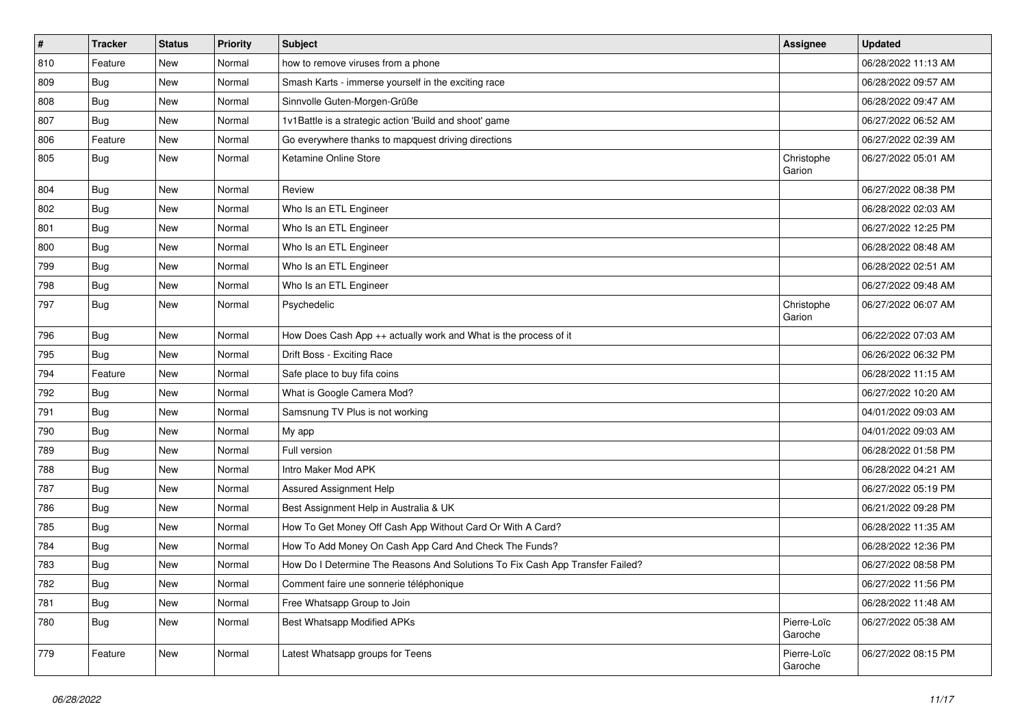| $\sharp$ | <b>Tracker</b> | <b>Status</b> | <b>Priority</b> | <b>Subject</b>                                                                | Assignee               | <b>Updated</b>      |
|----------|----------------|---------------|-----------------|-------------------------------------------------------------------------------|------------------------|---------------------|
| 810      | Feature        | New           | Normal          | how to remove viruses from a phone                                            |                        | 06/28/2022 11:13 AM |
| 809      | Bug            | <b>New</b>    | Normal          | Smash Karts - immerse yourself in the exciting race                           |                        | 06/28/2022 09:57 AM |
| 808      | Bug            | New           | Normal          | Sinnvolle Guten-Morgen-Grüße                                                  |                        | 06/28/2022 09:47 AM |
| 807      | Bug            | New           | Normal          | 1v1Battle is a strategic action 'Build and shoot' game                        |                        | 06/27/2022 06:52 AM |
| 806      | Feature        | <b>New</b>    | Normal          | Go everywhere thanks to mapquest driving directions                           |                        | 06/27/2022 02:39 AM |
| 805      | <b>Bug</b>     | New           | Normal          | Ketamine Online Store                                                         | Christophe<br>Garion   | 06/27/2022 05:01 AM |
| 804      | Bug            | <b>New</b>    | Normal          | Review                                                                        |                        | 06/27/2022 08:38 PM |
| 802      | Bug            | New           | Normal          | Who Is an ETL Engineer                                                        |                        | 06/28/2022 02:03 AM |
| 801      | <b>Bug</b>     | <b>New</b>    | Normal          | Who Is an ETL Engineer                                                        |                        | 06/27/2022 12:25 PM |
| 800      | <b>Bug</b>     | New           | Normal          | Who Is an ETL Engineer                                                        |                        | 06/28/2022 08:48 AM |
| 799      | Bug            | New           | Normal          | Who Is an ETL Engineer                                                        |                        | 06/28/2022 02:51 AM |
| 798      | <b>Bug</b>     | <b>New</b>    | Normal          | Who Is an ETL Engineer                                                        |                        | 06/27/2022 09:48 AM |
| 797      | <b>Bug</b>     | New           | Normal          | Psychedelic                                                                   | Christophe<br>Garion   | 06/27/2022 06:07 AM |
| 796      | Bug            | <b>New</b>    | Normal          | How Does Cash App ++ actually work and What is the process of it              |                        | 06/22/2022 07:03 AM |
| 795      | <b>Bug</b>     | <b>New</b>    | Normal          | Drift Boss - Exciting Race                                                    |                        | 06/26/2022 06:32 PM |
| 794      | Feature        | <b>New</b>    | Normal          | Safe place to buy fifa coins                                                  |                        | 06/28/2022 11:15 AM |
| 792      | <b>Bug</b>     | New           | Normal          | What is Google Camera Mod?                                                    |                        | 06/27/2022 10:20 AM |
| 791      | Bug            | New           | Normal          | Samsnung TV Plus is not working                                               |                        | 04/01/2022 09:03 AM |
| 790      | Bug            | <b>New</b>    | Normal          | My app                                                                        |                        | 04/01/2022 09:03 AM |
| 789      | Bug            | <b>New</b>    | Normal          | Full version                                                                  |                        | 06/28/2022 01:58 PM |
| 788      | Bug            | New           | Normal          | Intro Maker Mod APK                                                           |                        | 06/28/2022 04:21 AM |
| 787      | <b>Bug</b>     | New           | Normal          | Assured Assignment Help                                                       |                        | 06/27/2022 05:19 PM |
| 786      | <b>Bug</b>     | New           | Normal          | Best Assignment Help in Australia & UK                                        |                        | 06/21/2022 09:28 PM |
| 785      | Bug            | <b>New</b>    | Normal          | How To Get Money Off Cash App Without Card Or With A Card?                    |                        | 06/28/2022 11:35 AM |
| 784      | <b>Bug</b>     | New           | Normal          | How To Add Money On Cash App Card And Check The Funds?                        |                        | 06/28/2022 12:36 PM |
| 783      | <b>Bug</b>     | New           | Normal          | How Do I Determine The Reasons And Solutions To Fix Cash App Transfer Failed? |                        | 06/27/2022 08:58 PM |
| 782      | Bug            | New           | Normal          | Comment faire une sonnerie téléphonique                                       |                        | 06/27/2022 11:56 PM |
| 781      | Bug            | <b>New</b>    | Normal          | Free Whatsapp Group to Join                                                   |                        | 06/28/2022 11:48 AM |
| 780      | Bug            | New           | Normal          | <b>Best Whatsapp Modified APKs</b>                                            | Pierre-Loïc<br>Garoche | 06/27/2022 05:38 AM |
| 779      | Feature        | New           | Normal          | Latest Whatsapp groups for Teens                                              | Pierre-Loïc<br>Garoche | 06/27/2022 08:15 PM |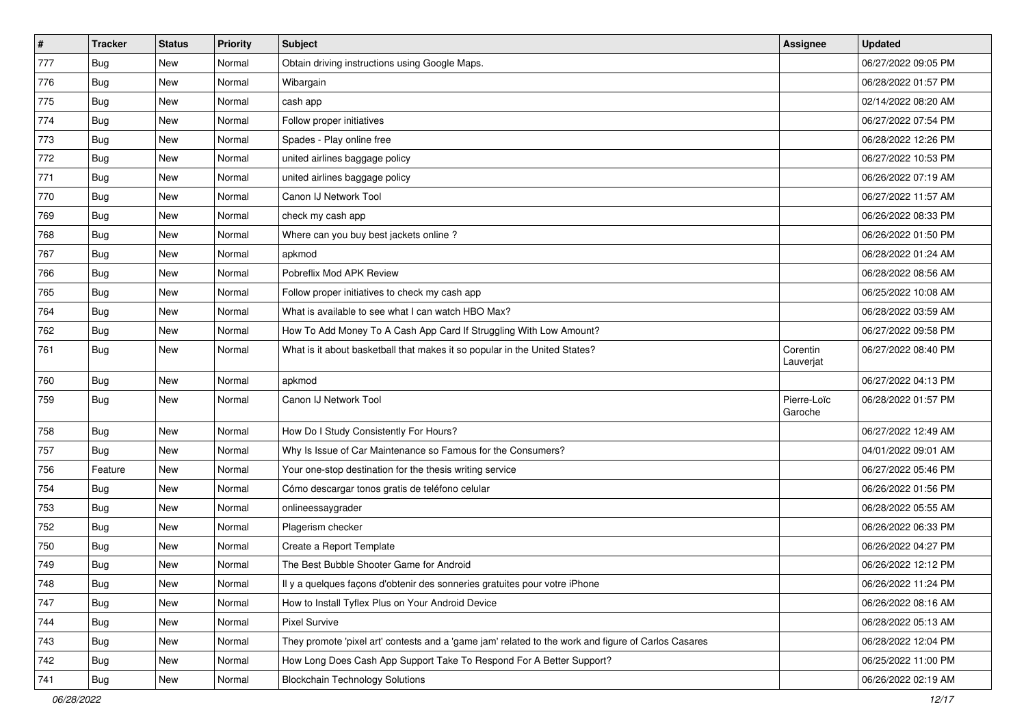| $\vert$ # | Tracker    | <b>Status</b> | <b>Priority</b> | <b>Subject</b>                                                                                      | Assignee               | <b>Updated</b>      |
|-----------|------------|---------------|-----------------|-----------------------------------------------------------------------------------------------------|------------------------|---------------------|
| 777       | <b>Bug</b> | New           | Normal          | Obtain driving instructions using Google Maps.                                                      |                        | 06/27/2022 09:05 PM |
| 776       | Bug        | <b>New</b>    | Normal          | Wibargain                                                                                           |                        | 06/28/2022 01:57 PM |
| 775       | Bug        | New           | Normal          | cash app                                                                                            |                        | 02/14/2022 08:20 AM |
| 774       | Bug        | New           | Normal          | Follow proper initiatives                                                                           |                        | 06/27/2022 07:54 PM |
| 773       | <b>Bug</b> | <b>New</b>    | Normal          | Spades - Play online free                                                                           |                        | 06/28/2022 12:26 PM |
| 772       | <b>Bug</b> | New           | Normal          | united airlines baggage policy                                                                      |                        | 06/27/2022 10:53 PM |
| 771       | Bug        | New           | Normal          | united airlines baggage policy                                                                      |                        | 06/26/2022 07:19 AM |
| 770       | <b>Bug</b> | New           | Normal          | Canon IJ Network Tool                                                                               |                        | 06/27/2022 11:57 AM |
| 769       | <b>Bug</b> | <b>New</b>    | Normal          | check my cash app                                                                                   |                        | 06/26/2022 08:33 PM |
| 768       | Bug        | New           | Normal          | Where can you buy best jackets online?                                                              |                        | 06/26/2022 01:50 PM |
| 767       | <b>Bug</b> | New           | Normal          | apkmod                                                                                              |                        | 06/28/2022 01:24 AM |
| 766       | <b>Bug</b> | New           | Normal          | Pobreflix Mod APK Review                                                                            |                        | 06/28/2022 08:56 AM |
| 765       | Bug        | <b>New</b>    | Normal          | Follow proper initiatives to check my cash app                                                      |                        | 06/25/2022 10:08 AM |
| 764       | <b>Bug</b> | New           | Normal          | What is available to see what I can watch HBO Max?                                                  |                        | 06/28/2022 03:59 AM |
| 762       | <b>Bug</b> | <b>New</b>    | Normal          | How To Add Money To A Cash App Card If Struggling With Low Amount?                                  |                        | 06/27/2022 09:58 PM |
| 761       | <b>Bug</b> | New           | Normal          | What is it about basketball that makes it so popular in the United States?                          | Corentin<br>Lauverjat  | 06/27/2022 08:40 PM |
| 760       | Bug        | <b>New</b>    | Normal          | apkmod                                                                                              |                        | 06/27/2022 04:13 PM |
| 759       | <b>Bug</b> | New           | Normal          | Canon IJ Network Tool                                                                               | Pierre-Loïc<br>Garoche | 06/28/2022 01:57 PM |
| 758       | Bug        | <b>New</b>    | Normal          | How Do I Study Consistently For Hours?                                                              |                        | 06/27/2022 12:49 AM |
| 757       | Bug        | New           | Normal          | Why Is Issue of Car Maintenance so Famous for the Consumers?                                        |                        | 04/01/2022 09:01 AM |
| 756       | Feature    | New           | Normal          | Your one-stop destination for the thesis writing service                                            |                        | 06/27/2022 05:46 PM |
| 754       | <b>Bug</b> | New           | Normal          | Cómo descargar tonos gratis de teléfono celular                                                     |                        | 06/26/2022 01:56 PM |
| 753       | <b>Bug</b> | New           | Normal          | onlineessaygrader                                                                                   |                        | 06/28/2022 05:55 AM |
| 752       | Bug        | New           | Normal          | Plagerism checker                                                                                   |                        | 06/26/2022 06:33 PM |
| 750       | <b>Bug</b> | New           | Normal          | Create a Report Template                                                                            |                        | 06/26/2022 04:27 PM |
| 749       | <b>Bug</b> | New           | Normal          | The Best Bubble Shooter Game for Android                                                            |                        | 06/26/2022 12:12 PM |
| 748       | Bug        | New           | Normal          | Il y a quelques façons d'obtenir des sonneries gratuites pour votre iPhone                          |                        | 06/26/2022 11:24 PM |
| 747       | Bug        | New           | Normal          | How to Install Tyflex Plus on Your Android Device                                                   |                        | 06/26/2022 08:16 AM |
| 744       | <b>Bug</b> | New           | Normal          | Pixel Survive                                                                                       |                        | 06/28/2022 05:13 AM |
| 743       | <b>Bug</b> | New           | Normal          | They promote 'pixel art' contests and a 'game jam' related to the work and figure of Carlos Casares |                        | 06/28/2022 12:04 PM |
| 742       | <b>Bug</b> | New           | Normal          | How Long Does Cash App Support Take To Respond For A Better Support?                                |                        | 06/25/2022 11:00 PM |
| 741       | <b>Bug</b> | New           | Normal          | <b>Blockchain Technology Solutions</b>                                                              |                        | 06/26/2022 02:19 AM |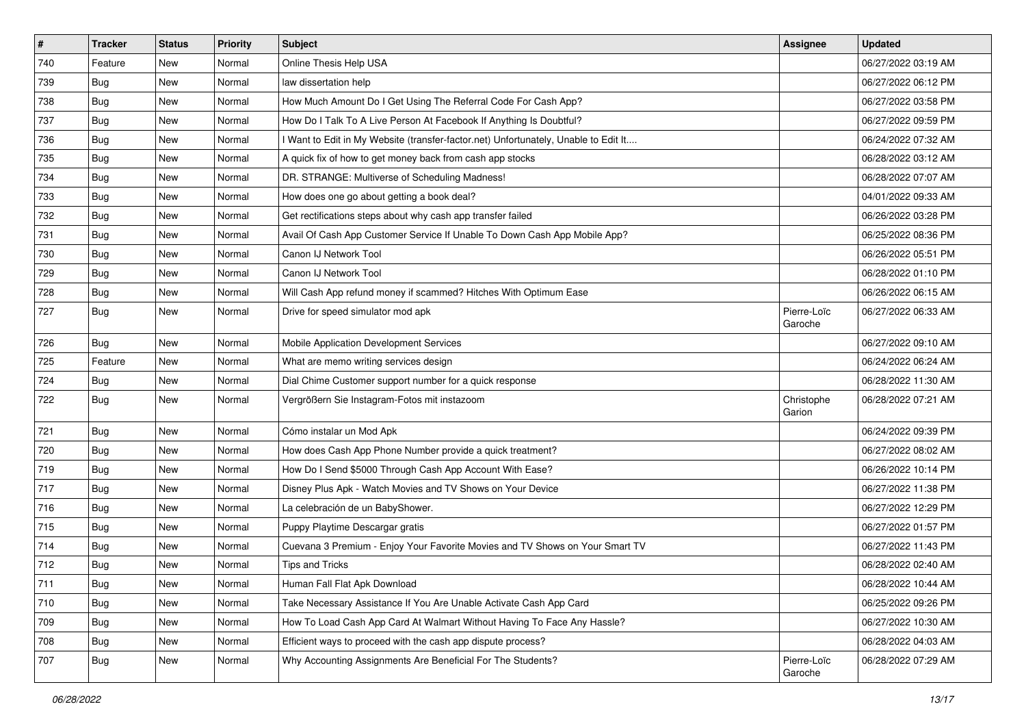| $\vert$ # | <b>Tracker</b> | <b>Status</b> | <b>Priority</b> | Subject                                                                             | Assignee               | <b>Updated</b>      |
|-----------|----------------|---------------|-----------------|-------------------------------------------------------------------------------------|------------------------|---------------------|
| 740       | Feature        | New           | Normal          | Online Thesis Help USA                                                              |                        | 06/27/2022 03:19 AM |
| 739       | Bug            | New           | Normal          | law dissertation help                                                               |                        | 06/27/2022 06:12 PM |
| 738       | <b>Bug</b>     | New           | Normal          | How Much Amount Do I Get Using The Referral Code For Cash App?                      |                        | 06/27/2022 03:58 PM |
| 737       | Bug            | New           | Normal          | How Do I Talk To A Live Person At Facebook If Anything Is Doubtful?                 |                        | 06/27/2022 09:59 PM |
| 736       | <b>Bug</b>     | New           | Normal          | I Want to Edit in My Website (transfer-factor.net) Unfortunately, Unable to Edit It |                        | 06/24/2022 07:32 AM |
| 735       | Bug            | New           | Normal          | A quick fix of how to get money back from cash app stocks                           |                        | 06/28/2022 03:12 AM |
| 734       | Bug            | New           | Normal          | DR. STRANGE: Multiverse of Scheduling Madness!                                      |                        | 06/28/2022 07:07 AM |
| 733       | <b>Bug</b>     | New           | Normal          | How does one go about getting a book deal?                                          |                        | 04/01/2022 09:33 AM |
| 732       | Bug            | New           | Normal          | Get rectifications steps about why cash app transfer failed                         |                        | 06/26/2022 03:28 PM |
| 731       | Bug            | New           | Normal          | Avail Of Cash App Customer Service If Unable To Down Cash App Mobile App?           |                        | 06/25/2022 08:36 PM |
| 730       | <b>Bug</b>     | New           | Normal          | Canon IJ Network Tool                                                               |                        | 06/26/2022 05:51 PM |
| 729       | Bug            | New           | Normal          | Canon IJ Network Tool                                                               |                        | 06/28/2022 01:10 PM |
| 728       | Bug            | <b>New</b>    | Normal          | Will Cash App refund money if scammed? Hitches With Optimum Ease                    |                        | 06/26/2022 06:15 AM |
| 727       | <b>Bug</b>     | New           | Normal          | Drive for speed simulator mod apk                                                   | Pierre-Loïc<br>Garoche | 06/27/2022 06:33 AM |
| 726       | <b>Bug</b>     | <b>New</b>    | Normal          | Mobile Application Development Services                                             |                        | 06/27/2022 09:10 AM |
| 725       | Feature        | <b>New</b>    | Normal          | What are memo writing services design                                               |                        | 06/24/2022 06:24 AM |
| 724       | Bug            | New           | Normal          | Dial Chime Customer support number for a quick response                             |                        | 06/28/2022 11:30 AM |
| 722       | <b>Bug</b>     | New           | Normal          | Vergrößern Sie Instagram-Fotos mit instazoom                                        | Christophe<br>Garion   | 06/28/2022 07:21 AM |
| 721       | Bug            | <b>New</b>    | Normal          | Cómo instalar un Mod Apk                                                            |                        | 06/24/2022 09:39 PM |
| 720       | <b>Bug</b>     | New           | Normal          | How does Cash App Phone Number provide a quick treatment?                           |                        | 06/27/2022 08:02 AM |
| 719       | <b>Bug</b>     | New           | Normal          | How Do I Send \$5000 Through Cash App Account With Ease?                            |                        | 06/26/2022 10:14 PM |
| 717       | <b>Bug</b>     | New           | Normal          | Disney Plus Apk - Watch Movies and TV Shows on Your Device                          |                        | 06/27/2022 11:38 PM |
| 716       | Bug            | <b>New</b>    | Normal          | La celebración de un BabyShower.                                                    |                        | 06/27/2022 12:29 PM |
| 715       | Bug            | New           | Normal          | Puppy Playtime Descargar gratis                                                     |                        | 06/27/2022 01:57 PM |
| 714       | Bug            | New           | Normal          | Cuevana 3 Premium - Enjoy Your Favorite Movies and TV Shows on Your Smart TV        |                        | 06/27/2022 11:43 PM |
| 712       | Bug            | New           | Normal          | Tips and Tricks                                                                     |                        | 06/28/2022 02:40 AM |
| 711       | Bug            | New           | Normal          | Human Fall Flat Apk Download                                                        |                        | 06/28/2022 10:44 AM |
| 710       | Bug            | New           | Normal          | Take Necessary Assistance If You Are Unable Activate Cash App Card                  |                        | 06/25/2022 09:26 PM |
| 709       | Bug            | New           | Normal          | How To Load Cash App Card At Walmart Without Having To Face Any Hassle?             |                        | 06/27/2022 10:30 AM |
| 708       | <b>Bug</b>     | New           | Normal          | Efficient ways to proceed with the cash app dispute process?                        |                        | 06/28/2022 04:03 AM |
| 707       | <b>Bug</b>     | New           | Normal          | Why Accounting Assignments Are Beneficial For The Students?                         | Pierre-Loïc<br>Garoche | 06/28/2022 07:29 AM |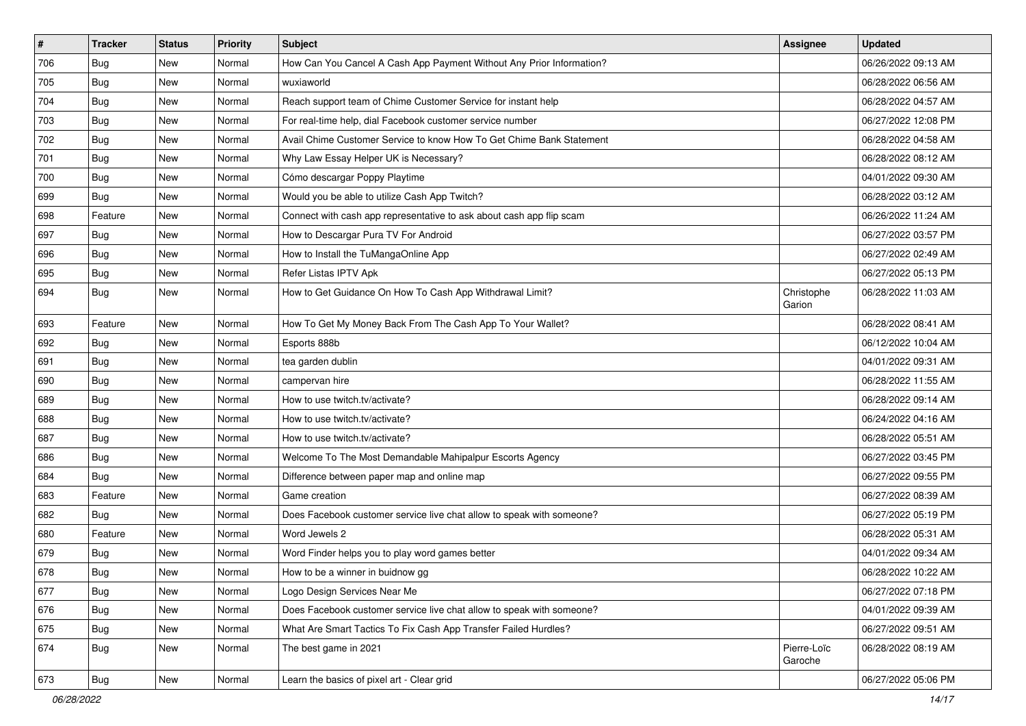| #   | <b>Tracker</b> | <b>Status</b> | <b>Priority</b> | <b>Subject</b>                                                        | Assignee               | <b>Updated</b>      |
|-----|----------------|---------------|-----------------|-----------------------------------------------------------------------|------------------------|---------------------|
| 706 | <b>Bug</b>     | New           | Normal          | How Can You Cancel A Cash App Payment Without Any Prior Information?  |                        | 06/26/2022 09:13 AM |
| 705 | Bug            | New           | Normal          | wuxiaworld                                                            |                        | 06/28/2022 06:56 AM |
| 704 | Bug            | New           | Normal          | Reach support team of Chime Customer Service for instant help         |                        | 06/28/2022 04:57 AM |
| 703 | <b>Bug</b>     | New           | Normal          | For real-time help, dial Facebook customer service number             |                        | 06/27/2022 12:08 PM |
| 702 | Bug            | New           | Normal          | Avail Chime Customer Service to know How To Get Chime Bank Statement  |                        | 06/28/2022 04:58 AM |
| 701 | <b>Bug</b>     | New           | Normal          | Why Law Essay Helper UK is Necessary?                                 |                        | 06/28/2022 08:12 AM |
| 700 | <b>Bug</b>     | New           | Normal          | Cómo descargar Poppy Playtime                                         |                        | 04/01/2022 09:30 AM |
| 699 | <b>Bug</b>     | New           | Normal          | Would you be able to utilize Cash App Twitch?                         |                        | 06/28/2022 03:12 AM |
| 698 | Feature        | New           | Normal          | Connect with cash app representative to ask about cash app flip scam  |                        | 06/26/2022 11:24 AM |
| 697 | Bug            | <b>New</b>    | Normal          | How to Descargar Pura TV For Android                                  |                        | 06/27/2022 03:57 PM |
| 696 | Bug            | New           | Normal          | How to Install the TuMangaOnline App                                  |                        | 06/27/2022 02:49 AM |
| 695 | <b>Bug</b>     | New           | Normal          | Refer Listas IPTV Apk                                                 |                        | 06/27/2022 05:13 PM |
| 694 | Bug            | New           | Normal          | How to Get Guidance On How To Cash App Withdrawal Limit?              | Christophe<br>Garion   | 06/28/2022 11:03 AM |
| 693 | Feature        | New           | Normal          | How To Get My Money Back From The Cash App To Your Wallet?            |                        | 06/28/2022 08:41 AM |
| 692 | Bug            | New           | Normal          | Esports 888b                                                          |                        | 06/12/2022 10:04 AM |
| 691 | Bug            | New           | Normal          | tea garden dublin                                                     |                        | 04/01/2022 09:31 AM |
| 690 | Bug            | New           | Normal          | campervan hire                                                        |                        | 06/28/2022 11:55 AM |
| 689 | <b>Bug</b>     | New           | Normal          | How to use twitch.tv/activate?                                        |                        | 06/28/2022 09:14 AM |
| 688 | Bug            | New           | Normal          | How to use twitch.tv/activate?                                        |                        | 06/24/2022 04:16 AM |
| 687 | Bug            | New           | Normal          | How to use twitch.tv/activate?                                        |                        | 06/28/2022 05:51 AM |
| 686 | <b>Bug</b>     | New           | Normal          | Welcome To The Most Demandable Mahipalpur Escorts Agency              |                        | 06/27/2022 03:45 PM |
| 684 | <b>Bug</b>     | <b>New</b>    | Normal          | Difference between paper map and online map                           |                        | 06/27/2022 09:55 PM |
| 683 | Feature        | New           | Normal          | Game creation                                                         |                        | 06/27/2022 08:39 AM |
| 682 | <b>Bug</b>     | New           | Normal          | Does Facebook customer service live chat allow to speak with someone? |                        | 06/27/2022 05:19 PM |
| 680 | Feature        | New           | Normal          | Word Jewels 2                                                         |                        | 06/28/2022 05:31 AM |
| 679 | Bug            | New           | Normal          | Word Finder helps you to play word games better                       |                        | 04/01/2022 09:34 AM |
| 678 | <b>Bug</b>     | New           | Normal          | How to be a winner in buidnow gg                                      |                        | 06/28/2022 10:22 AM |
| 677 | <b>Bug</b>     | New           | Normal          | Logo Design Services Near Me                                          |                        | 06/27/2022 07:18 PM |
| 676 | Bug            | New           | Normal          | Does Facebook customer service live chat allow to speak with someone? |                        | 04/01/2022 09:39 AM |
| 675 | Bug            | New           | Normal          | What Are Smart Tactics To Fix Cash App Transfer Failed Hurdles?       |                        | 06/27/2022 09:51 AM |
| 674 | Bug            | New           | Normal          | The best game in 2021                                                 | Pierre-Loïc<br>Garoche | 06/28/2022 08:19 AM |
| 673 | <b>Bug</b>     | New           | Normal          | Learn the basics of pixel art - Clear grid                            |                        | 06/27/2022 05:06 PM |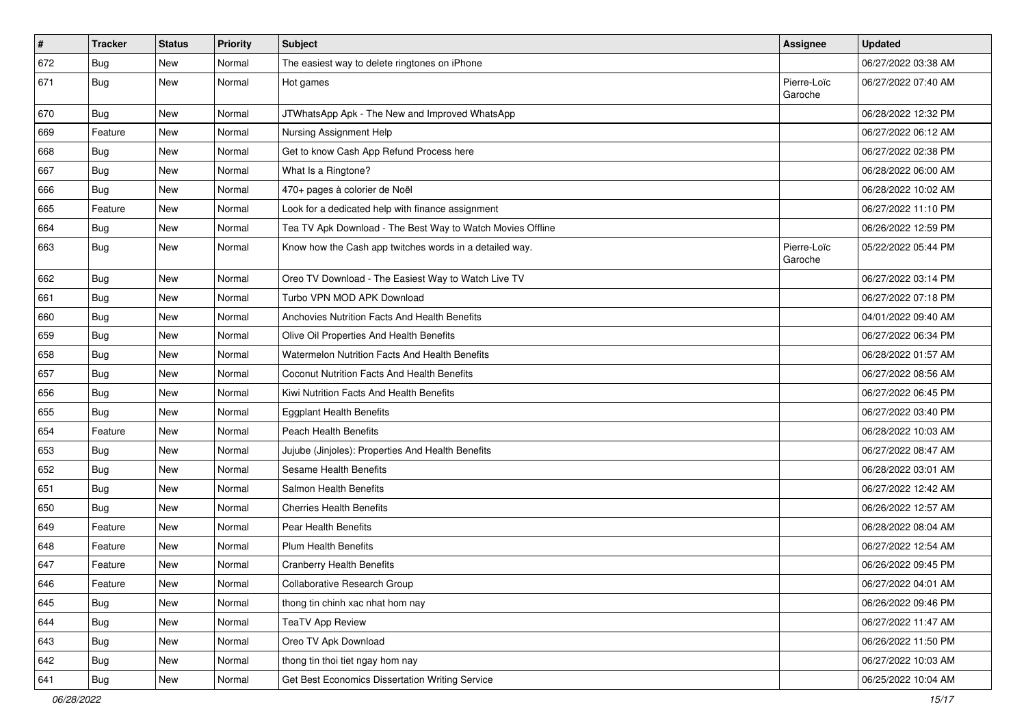| $\vert$ # | <b>Tracker</b> | <b>Status</b> | <b>Priority</b> | <b>Subject</b>                                             | Assignee               | <b>Updated</b>      |
|-----------|----------------|---------------|-----------------|------------------------------------------------------------|------------------------|---------------------|
| 672       | <b>Bug</b>     | New           | Normal          | The easiest way to delete ringtones on iPhone              |                        | 06/27/2022 03:38 AM |
| 671       | <b>Bug</b>     | New           | Normal          | Hot games                                                  | Pierre-Loïc<br>Garoche | 06/27/2022 07:40 AM |
| 670       | <b>Bug</b>     | <b>New</b>    | Normal          | JTWhatsApp Apk - The New and Improved WhatsApp             |                        | 06/28/2022 12:32 PM |
| 669       | Feature        | <b>New</b>    | Normal          | Nursing Assignment Help                                    |                        | 06/27/2022 06:12 AM |
| 668       | <b>Bug</b>     | New           | Normal          | Get to know Cash App Refund Process here                   |                        | 06/27/2022 02:38 PM |
| 667       | <b>Bug</b>     | <b>New</b>    | Normal          | What Is a Ringtone?                                        |                        | 06/28/2022 06:00 AM |
| 666       | Bug            | <b>New</b>    | Normal          | 470+ pages à colorier de Noël                              |                        | 06/28/2022 10:02 AM |
| 665       | Feature        | <b>New</b>    | Normal          | Look for a dedicated help with finance assignment          |                        | 06/27/2022 11:10 PM |
| 664       | <b>Bug</b>     | New           | Normal          | Tea TV Apk Download - The Best Way to Watch Movies Offline |                        | 06/26/2022 12:59 PM |
| 663       | Bug            | <b>New</b>    | Normal          | Know how the Cash app twitches words in a detailed way.    | Pierre-Loïc<br>Garoche | 05/22/2022 05:44 PM |
| 662       | Bug            | <b>New</b>    | Normal          | Oreo TV Download - The Easiest Way to Watch Live TV        |                        | 06/27/2022 03:14 PM |
| 661       | <b>Bug</b>     | New           | Normal          | Turbo VPN MOD APK Download                                 |                        | 06/27/2022 07:18 PM |
| 660       | <b>Bug</b>     | <b>New</b>    | Normal          | Anchovies Nutrition Facts And Health Benefits              |                        | 04/01/2022 09:40 AM |
| 659       | Bug            | <b>New</b>    | Normal          | Olive Oil Properties And Health Benefits                   |                        | 06/27/2022 06:34 PM |
| 658       | <b>Bug</b>     | <b>New</b>    | Normal          | Watermelon Nutrition Facts And Health Benefits             |                        | 06/28/2022 01:57 AM |
| 657       | Bug            | <b>New</b>    | Normal          | <b>Coconut Nutrition Facts And Health Benefits</b>         |                        | 06/27/2022 08:56 AM |
| 656       | <b>Bug</b>     | New           | Normal          | Kiwi Nutrition Facts And Health Benefits                   |                        | 06/27/2022 06:45 PM |
| 655       | Bug            | New           | Normal          | <b>Eggplant Health Benefits</b>                            |                        | 06/27/2022 03:40 PM |
| 654       | Feature        | <b>New</b>    | Normal          | <b>Peach Health Benefits</b>                               |                        | 06/28/2022 10:03 AM |
| 653       | Bug            | <b>New</b>    | Normal          | Jujube (Jinjoles): Properties And Health Benefits          |                        | 06/27/2022 08:47 AM |
| 652       | <b>Bug</b>     | <b>New</b>    | Normal          | Sesame Health Benefits                                     |                        | 06/28/2022 03:01 AM |
| 651       | <b>Bug</b>     | New           | Normal          | Salmon Health Benefits                                     |                        | 06/27/2022 12:42 AM |
| 650       | <b>Bug</b>     | New           | Normal          | <b>Cherries Health Benefits</b>                            |                        | 06/26/2022 12:57 AM |
| 649       | Feature        | <b>New</b>    | Normal          | Pear Health Benefits                                       |                        | 06/28/2022 08:04 AM |
| 648       | Feature        | New           | Normal          | <b>Plum Health Benefits</b>                                |                        | 06/27/2022 12:54 AM |
| 647       | Feature        | New           | Normal          | <b>Cranberry Health Benefits</b>                           |                        | 06/26/2022 09:45 PM |
| 646       | Feature        | New           | Normal          | Collaborative Research Group                               |                        | 06/27/2022 04:01 AM |
| 645       | Bug            | New           | Normal          | thong tin chinh xac nhat hom nay                           |                        | 06/26/2022 09:46 PM |
| 644       | Bug            | <b>New</b>    | Normal          | <b>TeaTV App Review</b>                                    |                        | 06/27/2022 11:47 AM |
| 643       | Bug            | New           | Normal          | Oreo TV Apk Download                                       |                        | 06/26/2022 11:50 PM |
| 642       | Bug            | New           | Normal          | thong tin thoi tiet ngay hom nay                           |                        | 06/27/2022 10:03 AM |
| 641       | <b>Bug</b>     | New           | Normal          | Get Best Economics Dissertation Writing Service            |                        | 06/25/2022 10:04 AM |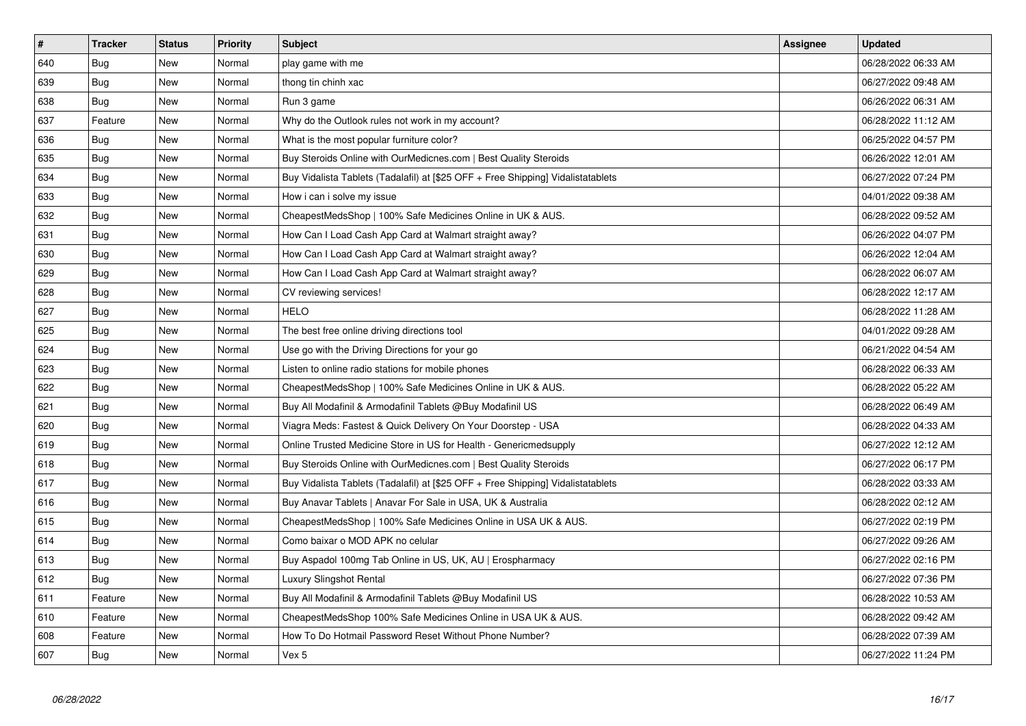| $\vert$ # | <b>Tracker</b> | <b>Status</b> | <b>Priority</b> | <b>Subject</b>                                                                   | Assignee | <b>Updated</b>      |
|-----------|----------------|---------------|-----------------|----------------------------------------------------------------------------------|----------|---------------------|
| 640       | Bug            | <b>New</b>    | Normal          | play game with me                                                                |          | 06/28/2022 06:33 AM |
| 639       | <b>Bug</b>     | New           | Normal          | thong tin chinh xac                                                              |          | 06/27/2022 09:48 AM |
| 638       | <b>Bug</b>     | <b>New</b>    | Normal          | Run 3 game                                                                       |          | 06/26/2022 06:31 AM |
| 637       | Feature        | <b>New</b>    | Normal          | Why do the Outlook rules not work in my account?                                 |          | 06/28/2022 11:12 AM |
| 636       | Bug            | New           | Normal          | What is the most popular furniture color?                                        |          | 06/25/2022 04:57 PM |
| 635       | Bug            | <b>New</b>    | Normal          | Buy Steroids Online with OurMedicnes.com   Best Quality Steroids                 |          | 06/26/2022 12:01 AM |
| 634       | <b>Bug</b>     | <b>New</b>    | Normal          | Buy Vidalista Tablets (Tadalafil) at [\$25 OFF + Free Shipping] Vidalistatablets |          | 06/27/2022 07:24 PM |
| 633       | Bug            | New           | Normal          | How i can i solve my issue                                                       |          | 04/01/2022 09:38 AM |
| 632       | <b>Bug</b>     | <b>New</b>    | Normal          | CheapestMedsShop   100% Safe Medicines Online in UK & AUS.                       |          | 06/28/2022 09:52 AM |
| 631       | Bug            | <b>New</b>    | Normal          | How Can I Load Cash App Card at Walmart straight away?                           |          | 06/26/2022 04:07 PM |
| 630       | Bug            | New           | Normal          | How Can I Load Cash App Card at Walmart straight away?                           |          | 06/26/2022 12:04 AM |
| 629       | <b>Bug</b>     | New           | Normal          | How Can I Load Cash App Card at Walmart straight away?                           |          | 06/28/2022 06:07 AM |
| 628       | Bug            | <b>New</b>    | Normal          | CV reviewing services!                                                           |          | 06/28/2022 12:17 AM |
| 627       | Bug            | <b>New</b>    | Normal          | <b>HELO</b>                                                                      |          | 06/28/2022 11:28 AM |
| 625       | Bug            | New           | Normal          | The best free online driving directions tool                                     |          | 04/01/2022 09:28 AM |
| 624       | <b>Bug</b>     | New           | Normal          | Use go with the Driving Directions for your go                                   |          | 06/21/2022 04:54 AM |
| 623       | Bug            | New           | Normal          | Listen to online radio stations for mobile phones                                |          | 06/28/2022 06:33 AM |
| 622       | <b>Bug</b>     | New           | Normal          | CheapestMedsShop   100% Safe Medicines Online in UK & AUS.                       |          | 06/28/2022 05:22 AM |
| 621       | <b>Bug</b>     | New           | Normal          | Buy All Modafinil & Armodafinil Tablets @Buy Modafinil US                        |          | 06/28/2022 06:49 AM |
| 620       | Bug            | New           | Normal          | Viagra Meds: Fastest & Quick Delivery On Your Doorstep - USA                     |          | 06/28/2022 04:33 AM |
| 619       | Bug            | New           | Normal          | Online Trusted Medicine Store in US for Health - Genericmedsupply                |          | 06/27/2022 12:12 AM |
| 618       | Bug            | <b>New</b>    | Normal          | Buy Steroids Online with OurMedicnes.com   Best Quality Steroids                 |          | 06/27/2022 06:17 PM |
| 617       | Bug            | New           | Normal          | Buy Vidalista Tablets (Tadalafil) at [\$25 OFF + Free Shipping] Vidalistatablets |          | 06/28/2022 03:33 AM |
| 616       | Bug            | New           | Normal          | Buy Anavar Tablets   Anavar For Sale in USA, UK & Australia                      |          | 06/28/2022 02:12 AM |
| 615       | Bug            | New           | Normal          | CheapestMedsShop   100% Safe Medicines Online in USA UK & AUS.                   |          | 06/27/2022 02:19 PM |
| 614       | Bug            | New           | Normal          | Como baixar o MOD APK no celular                                                 |          | 06/27/2022 09:26 AM |
| 613       | Bug            | New           | Normal          | Buy Aspadol 100mg Tab Online in US, UK, AU   Erospharmacy                        |          | 06/27/2022 02:16 PM |
| 612       | Bug            | New           | Normal          | Luxury Slingshot Rental                                                          |          | 06/27/2022 07:36 PM |
| 611       | Feature        | New           | Normal          | Buy All Modafinil & Armodafinil Tablets @Buy Modafinil US                        |          | 06/28/2022 10:53 AM |
| 610       | Feature        | New           | Normal          | CheapestMedsShop 100% Safe Medicines Online in USA UK & AUS.                     |          | 06/28/2022 09:42 AM |
| 608       | Feature        | New           | Normal          | How To Do Hotmail Password Reset Without Phone Number?                           |          | 06/28/2022 07:39 AM |
| 607       | <b>Bug</b>     | <b>New</b>    | Normal          | Vex 5                                                                            |          | 06/27/2022 11:24 PM |